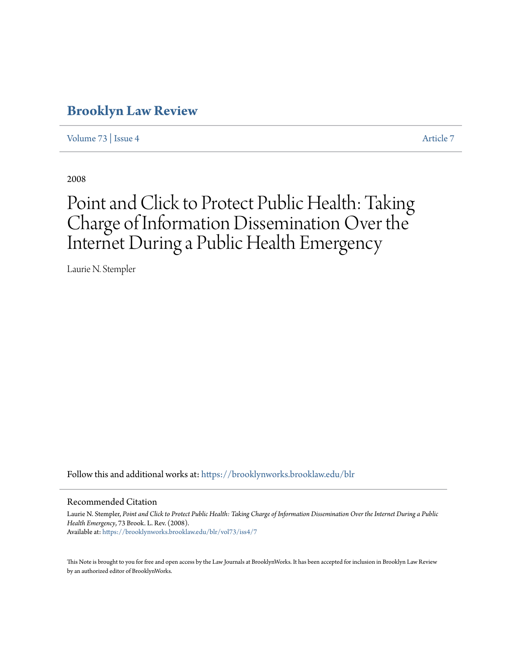## **[Brooklyn Law Review](https://brooklynworks.brooklaw.edu/blr?utm_source=brooklynworks.brooklaw.edu%2Fblr%2Fvol73%2Fiss4%2F7&utm_medium=PDF&utm_campaign=PDFCoverPages)**

[Volume 73](https://brooklynworks.brooklaw.edu/blr/vol73?utm_source=brooklynworks.brooklaw.edu%2Fblr%2Fvol73%2Fiss4%2F7&utm_medium=PDF&utm_campaign=PDFCoverPages) | [Issue 4](https://brooklynworks.brooklaw.edu/blr/vol73/iss4?utm_source=brooklynworks.brooklaw.edu%2Fblr%2Fvol73%2Fiss4%2F7&utm_medium=PDF&utm_campaign=PDFCoverPages) [Article 7](https://brooklynworks.brooklaw.edu/blr/vol73/iss4/7?utm_source=brooklynworks.brooklaw.edu%2Fblr%2Fvol73%2Fiss4%2F7&utm_medium=PDF&utm_campaign=PDFCoverPages)

2008

# Point and Click to Protect Public Health: Taking Charge of Information Dissemination Over the Internet During a Public Health Emergency

Laurie N. Stempler

Follow this and additional works at: [https://brooklynworks.brooklaw.edu/blr](https://brooklynworks.brooklaw.edu/blr?utm_source=brooklynworks.brooklaw.edu%2Fblr%2Fvol73%2Fiss4%2F7&utm_medium=PDF&utm_campaign=PDFCoverPages)

#### Recommended Citation

Laurie N. Stempler, *Point and Click to Protect Public Health: Taking Charge of Information Dissemination Over the Internet During a Public Health Emergency*, 73 Brook. L. Rev. (2008). Available at: [https://brooklynworks.brooklaw.edu/blr/vol73/iss4/7](https://brooklynworks.brooklaw.edu/blr/vol73/iss4/7?utm_source=brooklynworks.brooklaw.edu%2Fblr%2Fvol73%2Fiss4%2F7&utm_medium=PDF&utm_campaign=PDFCoverPages)

This Note is brought to you for free and open access by the Law Journals at BrooklynWorks. It has been accepted for inclusion in Brooklyn Law Review by an authorized editor of BrooklynWorks.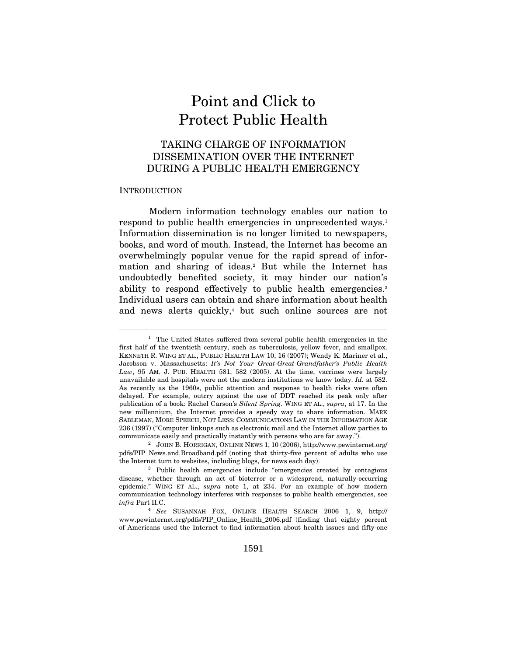## Point and Click to Protect Public Health

### TAKING CHARGE OF INFORMATION DISSEMINATION OVER THE INTERNET DURING A PUBLIC HEALTH EMERGENCY

#### INTRODUCTION

 $\overline{a}$ 

Modern information technology enables our nation to respond to public health emergencies in unprecedented ways.<sup>1</sup> Information dissemination is no longer limited to newspapers, books, and word of mouth. Instead, the Internet has become an overwhelmingly popular venue for the rapid spread of information and sharing of ideas.2 But while the Internet has undoubtedly benefited society, it may hinder our nation's ability to respond effectively to public health emergencies.<sup>3</sup> Individual users can obtain and share information about health and news alerts quickly,<sup>4</sup> but such online sources are not

 $1$  The United States suffered from several public health emergencies in the first half of the twentieth century, such as tuberculosis, yellow fever, and smallpox. KENNETH R. WING ET AL., PUBLIC HEALTH LAW 10, 16 (2007); Wendy K. Mariner et al., Jacobson v. Massachusetts: It's Not Your Great-Great-Grandfather's Public Health Law, 95 AM. J. PUB. HEALTH 581, 582 (2005). At the time, vaccines were largely unavailable and hospitals were not the modern institutions we know today. Id. at 582. As recently as the 1960s, public attention and response to health risks were often delayed. For example, outcry against the use of DDT reached its peak only after publication of a book: Rachel Carson's Silent Spring. WING ET AL., supra, at 17. In the new millennium, the Internet provides a speedy way to share information. MARK SABLEMAN, MORE SPEECH, NOT LESS: COMMUNICATIONS LAW IN THE INFORMATION AGE 236 (1997) ("Computer linkups such as electronic mail and the Internet allow parties to communicate easily and practically instantly with persons who are far away."). 2 JOHN B. HORRIGAN, ONLINE NEWS 1, 10 (2006), http://www.pewinternet.org/

pdfs/PIP\_News.and.Broadband.pdf (noting that thirty-five percent of adults who use the Internet turn to websites, including blogs, for news each day).<br><sup>3</sup> Public health emergencies include "emergencies created by contagious"

disease, whether through an act of bioterror or a widespread, naturally-occurring epidemic." WING ET AL., supra note 1, at 234. For an example of how modern communication technology interferes with responses to public health emergencies, see  $infra$  Part II.C.  $4$  See SUSANNAH FOX, ONLINE HEALTH SEARCH 2006 1, 9, http://

www.pewinternet.org/pdfs/PIP\_Online\_Health\_2006.pdf (finding that eighty percent of Americans used the Internet to find information about health issues and fifty-one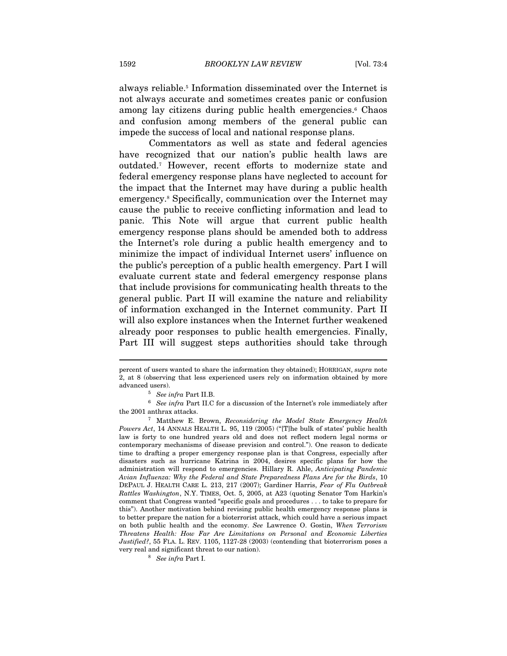always reliable.5 Information disseminated over the Internet is not always accurate and sometimes creates panic or confusion among lay citizens during public health emergencies.<sup>6</sup> Chaos and confusion among members of the general public can impede the success of local and national response plans.

Commentators as well as state and federal agencies have recognized that our nation's public health laws are outdated.7 However, recent efforts to modernize state and federal emergency response plans have neglected to account for the impact that the Internet may have during a public health emergency.8 Specifically, communication over the Internet may cause the public to receive conflicting information and lead to panic. This Note will argue that current public health emergency response plans should be amended both to address the Internet's role during a public health emergency and to minimize the impact of individual Internet users' influence on the public's perception of a public health emergency. Part I will evaluate current state and federal emergency response plans that include provisions for communicating health threats to the general public. Part II will examine the nature and reliability of information exchanged in the Internet community. Part II will also explore instances when the Internet further weakened already poor responses to public health emergencies. Finally, Part III will suggest steps authorities should take through

the 2001 anthrax attacks.<br><sup>7</sup> Matthew E. Brown, Reconsidering the Model State Emergency Health

percent of users wanted to share the information they obtained); HORRIGAN, supra note 2, at 8 (observing that less experienced users rely on information obtained by more % advanced users). 5 See infra Part II.B. 6 See infra Part II.C for a discussion of the Internet's role immediately after a  $\,$  6 See infra Part II.C for a discussion of the Internet's role immediately after

Powers Act, 14 ANNALS HEALTH L. 95, 119 (2005) ("[T]he bulk of states' public health law is forty to one hundred years old and does not reflect modern legal norms or contemporary mechanisms of disease prevision and control."). One reason to dedicate time to drafting a proper emergency response plan is that Congress, especially after disasters such as hurricane Katrina in 2004, desires specific plans for how the administration will respond to emergencies. Hillary R. Ahle, Anticipating Pandemic Avian Influenza: Why the Federal and State Preparedness Plans Are for the Birds, 10 DEPAUL J. HEALTH CARE L. 213, 217 (2007); Gardiner Harris, Fear of Flu Outbreak Rattles Washington, N.Y. TIMES, Oct. 5, 2005, at A23 (quoting Senator Tom Harkin's comment that Congress wanted "specific goals and procedures . . . to take to prepare for this"). Another motivation behind revising public health emergency response plans is to better prepare the nation for a bioterrorist attack, which could have a serious impact on both public health and the economy. See Lawrence O. Gostin, When Terrorism Threatens Health: How Far Are Limitations on Personal and Economic Liberties Justified?, 55 FLA. L. REV. 1105, 1127-28 (2003) (contending that bioterrorism poses a very real and significant threat to our nation).  $^8\;$  See infra Part I.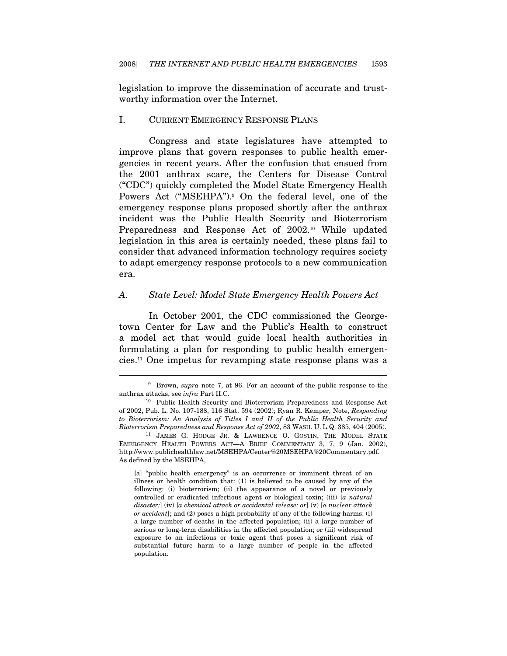legislation to improve the dissemination of accurate and trustworthy information over the Internet.

#### I. CURRENT EMERGENCY RESPONSE PLANS

Congress and state legislatures have attempted to improve plans that govern responses to public health emergencies in recent years. After the confusion that ensued from the 2001 anthrax scare, the Centers for Disease Control ("CDC") quickly completed the Model State Emergency Health Powers Act ("MSEHPA").9 On the federal level, one of the emergency response plans proposed shortly after the anthrax incident was the Public Health Security and Bioterrorism Preparedness and Response Act of 2002.<sup>10</sup> While updated legislation in this area is certainly needed, these plans fail to consider that advanced information technology requires society to adapt emergency response protocols to a new communication era.

#### A. State Level: Model State Emergency Health Powers Act

In October 2001, the CDC commissioned the Georgetown Center for Law and the Public's Health to construct a model act that would guide local health authorities in formulating a plan for responding to public health emergencies.11 One impetus for revamping state response plans was a

 $9\,$  Brown, supra note 7, at 96. For an account of the public response to the anthrax attacks, see *infra* Part II.C.<br><sup>10</sup> Public Health Security and Bioterrorism Preparedness and Response Act

of 2002, Pub. L. No. 107-188, 116 Stat. 594 (2002); Ryan R. Kemper, Note, Responding to Bioterrorism: An Analysis of Titles I and II of the Public Health Security and Bioterrorism Preparedness and Response Act of 2002, 83 WASH. U. L.Q. 385, 404 (2005). 11 JAMES G. HODGE JR. & LAWRENCE O. GOSTIN, THE MODEL STATE

EMERGENCY HEALTH POWERS ACT—A BRIEF COMMENTARY 3, 7, 9 (Jan. 2002), http://www.publichealthlaw.net/MSEHPA/Center%20MSEHPA%20Commentary.pdf. As defined by the MSEHPA,

<sup>[</sup>a] "public health emergency" is an occurrence or imminent threat of an illness or health condition that: (1) is believed to be caused by any of the following: (i) bioterrorism; (ii) the appearance of a novel or previously controlled or eradicated infectious agent or biological toxin; (iii) [a natural disaster;] (iv) [a chemical attack or accidental release; or] (v) [a nuclear attack or accident]; and (2) poses a high probability of any of the following harms: (i) a large number of deaths in the affected population; (ii) a large number of serious or long-term disabilities in the affected population; or (iii) widespread exposure to an infectious or toxic agent that poses a significant risk of substantial future harm to a large number of people in the affected population.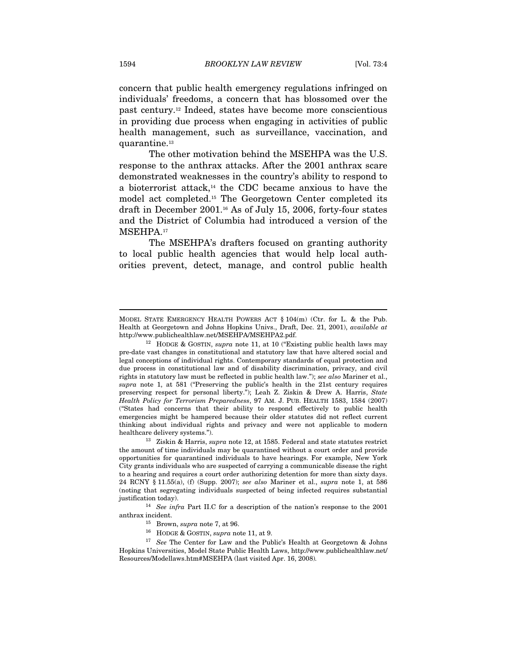concern that public health emergency regulations infringed on individuals' freedoms, a concern that has blossomed over the past century.12 Indeed, states have become more conscientious in providing due process when engaging in activities of public health management, such as surveillance, vaccination, and quarantine.13

The other motivation behind the MSEHPA was the U.S. response to the anthrax attacks. After the 2001 anthrax scare demonstrated weaknesses in the country's ability to respond to a bioterrorist attack,14 the CDC became anxious to have the model act completed.15 The Georgetown Center completed its draft in December 2001.16 As of July 15, 2006, forty-four states and the District of Columbia had introduced a version of the MSEHPA.<sup>17</sup>

The MSEHPA's drafters focused on granting authority to local public health agencies that would help local authorities prevent, detect, manage, and control public health

MODEL STATE EMERGENCY HEALTH POWERS ACT § 104(m) (Ctr. for L. & the Pub. Health at Georgetown and Johns Hopkins Univs., Draft, Dec. 21, 2001), available at http://www.publichealthlaw.net/MSEHPA/MSEHPA2.pdf.

<sup>&</sup>lt;sup>12</sup> HODGE & GOSTIN, supra note 11, at 10 ("Existing public health laws may pre-date vast changes in constitutional and statutory law that have altered social and legal conceptions of individual rights. Contemporary standards of equal protection and due process in constitutional law and of disability discrimination, privacy, and civil rights in statutory law must be reflected in public health law."); see also Mariner et al., supra note 1, at 581 ("Preserving the public's health in the 21st century requires preserving respect for personal liberty."); Leah Z. Ziskin & Drew A. Harris, State Health Policy for Terrorism Preparedness, 97 AM. J. PUB. HEALTH 1583, 1584 (2007) ("States had concerns that their ability to respond effectively to public health emergencies might be hampered because their older statutes did not reflect current thinking about individual rights and privacy and were not applicable to modern healthcare delivery systems.").<br><sup>13</sup> Ziskin & Harris, *supra* note 12, at 1585. Federal and state statutes restrict

the amount of time individuals may be quarantined without a court order and provide opportunities for quarantined individuals to have hearings. For example, New York City grants individuals who are suspected of carrying a communicable disease the right to a hearing and requires a court order authorizing detention for more than sixty days. 24 RCNY § 11.55(a), (f) (Supp. 2007); see also Mariner et al., supra note 1, at 586 (noting that segregating individuals suspected of being infected requires substantial

 $^{14}\,$  See infra Part II.C for a description of the nation's response to the 2001 anthrax incident.<br><sup>15</sup> Brown, *supra* note 7, at 96.<br><sup>16</sup> HODGE & GOSTIN, *supra* note 11, at 9.<br><sup>17</sup> See The Center for Law and the Public's Health at Georgetown & Johns

Hopkins Universities, Model State Public Health Laws, http://www.publichealthlaw.net/ Resources/Modellaws.htm#MSEHPA (last visited Apr. 16, 2008).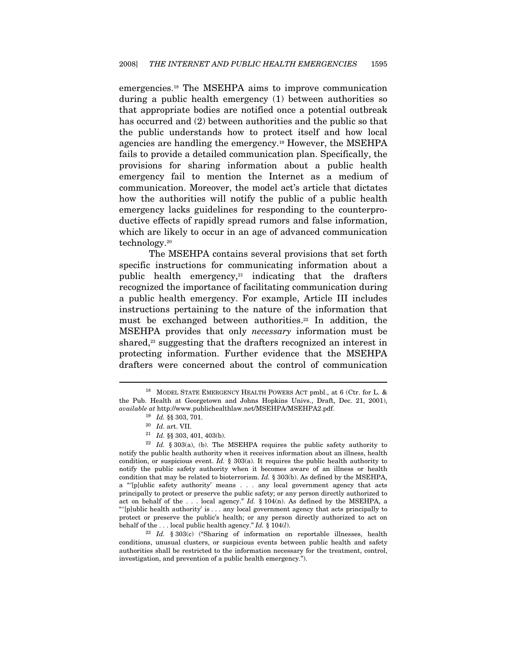emergencies.18 The MSEHPA aims to improve communication during a public health emergency (1) between authorities so that appropriate bodies are notified once a potential outbreak has occurred and (2) between authorities and the public so that the public understands how to protect itself and how local agencies are handling the emergency.19 However, the MSEHPA fails to provide a detailed communication plan. Specifically, the provisions for sharing information about a public health emergency fail to mention the Internet as a medium of communication. Moreover, the model act's article that dictates how the authorities will notify the public of a public health emergency lacks guidelines for responding to the counterproductive effects of rapidly spread rumors and false information, which are likely to occur in an age of advanced communication technology.20

The MSEHPA contains several provisions that set forth specific instructions for communicating information about a public health emergency, $21$  indicating that the drafters recognized the importance of facilitating communication during a public health emergency. For example, Article III includes instructions pertaining to the nature of the information that must be exchanged between authorities.<sup>22</sup> In addition, the MSEHPA provides that only necessary information must be shared,<sup>23</sup> suggesting that the drafters recognized an interest in protecting information. Further evidence that the MSEHPA drafters were concerned about the control of communication

<sup>&</sup>lt;sup>18</sup> MODEL STATE EMERGENCY HEALTH POWERS ACT pmbl., at 6 (Ctr. for L. & the Pub. Health at Georgetown and Johns Hopkins Univs., Draft, Dec. 21, 2001), % available at http://www.publichealthlaw.net/MSEHPA/MSEHPA2.pdf.  $^{19}$  Id. §§ 303, 701.  $^{20}$  Id. art. VII.

<sup>&</sup>lt;sup>21</sup> Id. §§ 303, 401, 403(b). 22 Id. § 303(a), (b). The MSEHPA requires the public safety authority to notify the public health authority when it receives information about an illness, health condition, or suspicious event. Id.  $\S$  303(a). It requires the public health authority to notify the public safety authority when it becomes aware of an illness or health condition that may be related to bioterrorism. Id. § 303(b). As defined by the MSEHPA, a "'[p]ublic safety authority' means . . . any local government agency that acts principally to protect or preserve the public safety; or any person directly authorized to act on behalf of the . . . local agency." Id. § 104(n). As defined by the MSEHPA, a "'[p]ublic health authority' is . . . any local government agency that acts principally to protect or preserve the public's health; or any person directly authorized to act on behalf of the ... local public health agency."  $Id. \$  104(*l*).<br><sup>23</sup> Id.  $\frac{8}{303(c)}$  ("Sharing of information on reportable illnesses, health

conditions, unusual clusters, or suspicious events between public health and safety authorities shall be restricted to the information necessary for the treatment, control, investigation, and prevention of a public health emergency.").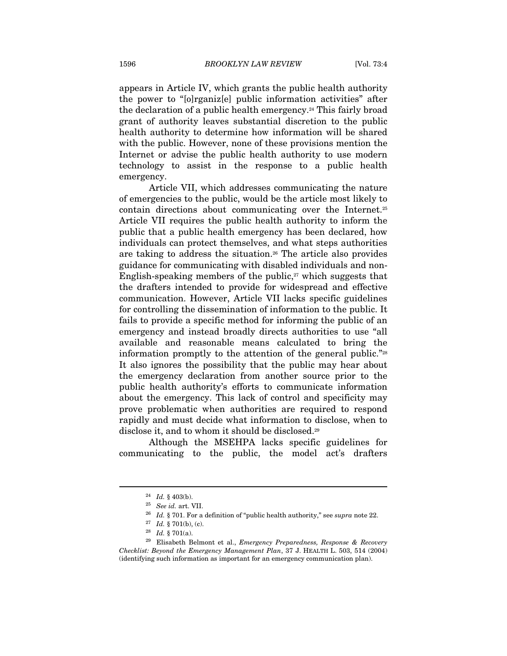appears in Article IV, which grants the public health authority the power to "[o]rganiz[e] public information activities" after the declaration of a public health emergency.24 This fairly broad grant of authority leaves substantial discretion to the public health authority to determine how information will be shared with the public. However, none of these provisions mention the Internet or advise the public health authority to use modern technology to assist in the response to a public health emergency.

Article VII, which addresses communicating the nature of emergencies to the public, would be the article most likely to contain directions about communicating over the Internet.25 Article VII requires the public health authority to inform the public that a public health emergency has been declared, how individuals can protect themselves, and what steps authorities are taking to address the situation.26 The article also provides guidance for communicating with disabled individuals and non-English-speaking members of the public, $27$  which suggests that the drafters intended to provide for widespread and effective communication. However, Article VII lacks specific guidelines for controlling the dissemination of information to the public. It fails to provide a specific method for informing the public of an emergency and instead broadly directs authorities to use "all available and reasonable means calculated to bring the information promptly to the attention of the general public."28 It also ignores the possibility that the public may hear about the emergency declaration from another source prior to the public health authority's efforts to communicate information about the emergency. This lack of control and specificity may prove problematic when authorities are required to respond rapidly and must decide what information to disclose, when to disclose it, and to whom it should be disclosed.29

Although the MSEHPA lacks specific guidelines for communicating to the public, the model act's drafters

 $^{24}$  Id. § 403(b).  $^{25}$  See id. art. VII.  $^{26}$  Id. § 701. For a definition of "public health authority," see supra note 22. Id. § 701(b), (c).

<sup>&</sup>lt;sup>28</sup> Id. § 701(a). <sup>28</sup> Id. § 701(a). *Emergency Preparedness, Response & Recovery* Checklist: Beyond the Emergency Management Plan, 37 J. HEALTH L. 503, 514 (2004) (identifying such information as important for an emergency communication plan).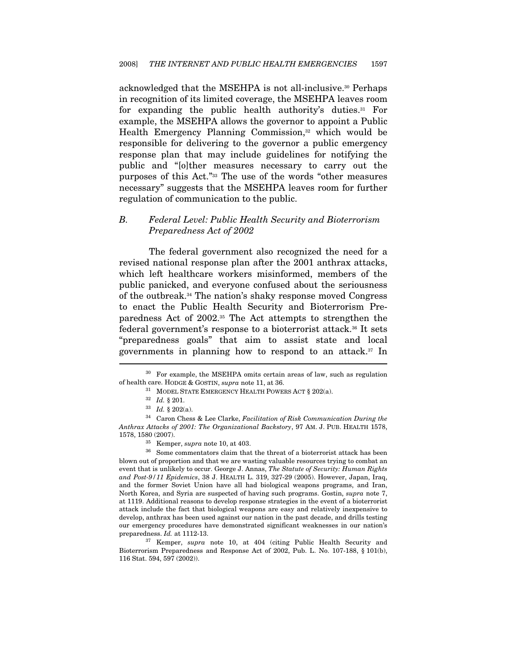acknowledged that the MSEHPA is not all-inclusive.30 Perhaps in recognition of its limited coverage, the MSEHPA leaves room for expanding the public health authority's duties.31 For example, the MSEHPA allows the governor to appoint a Public Health Emergency Planning Commission,<sup>32</sup> which would be responsible for delivering to the governor a public emergency response plan that may include guidelines for notifying the public and "[o]ther measures necessary to carry out the purposes of this Act."33 The use of the words "other measures necessary" suggests that the MSEHPA leaves room for further regulation of communication to the public.

#### B. Federal Level: Public Health Security and Bioterrorism Preparedness Act of 2002

The federal government also recognized the need for a revised national response plan after the 2001 anthrax attacks, which left healthcare workers misinformed, members of the public panicked, and everyone confused about the seriousness of the outbreak.34 The nation's shaky response moved Congress to enact the Public Health Security and Bioterrorism Preparedness Act of 2002.35 The Act attempts to strengthen the federal government's response to a bioterrorist attack.36 It sets "preparedness goals" that aim to assist state and local governments in planning how to respond to an attack.37 In

<sup>30</sup> For example, the MSEHPA omits certain areas of law, such as regulation % of health care. HODGE & GOSTIN, supra note 11, at 36.<br><sup>31</sup> MODEL STATE EMERGENCY HEALTH POWERS ACT § 202(a).<br><sup>32</sup> Id. § 202(a).<br><sup>33</sup> Id. § 202(a).<br><sup>34</sup> Caron Chess & Lee Clarke, *Facilitation of Risk Communication Durin* 

Anthrax Attacks of 2001: The Organizational Backstory, 97 AM. J. PUB. HEALTH 1578, 1578, 1580 (2007).<br><sup>35</sup> Kemper, *supra* note 10, at 403.<br><sup>36</sup> Some commentators claim that the threat of a bioterrorist attack has been

blown out of proportion and that we are wasting valuable resources trying to combat an event that is unlikely to occur. George J. Annas, The Statute of Security: Human Rights and Post-9/11 Epidemics, 38 J. HEALTH L. 319, 327-29 (2005). However, Japan, Iraq, and the former Soviet Union have all had biological weapons programs, and Iran, North Korea, and Syria are suspected of having such programs. Gostin, supra note 7, at 1119. Additional reasons to develop response strategies in the event of a bioterrorist attack include the fact that biological weapons are easy and relatively inexpensive to develop, anthrax has been used against our nation in the past decade, and drills testing our emergency procedures have demonstrated significant weaknesses in our nation's preparedness.  $Id$ . at 1112-13.

 $37$  Kemper, supra note 10, at 404 (citing Public Health Security and Bioterrorism Preparedness and Response Act of 2002, Pub. L. No. 107-188, § 101(b), 116 Stat. 594, 597 (2002)).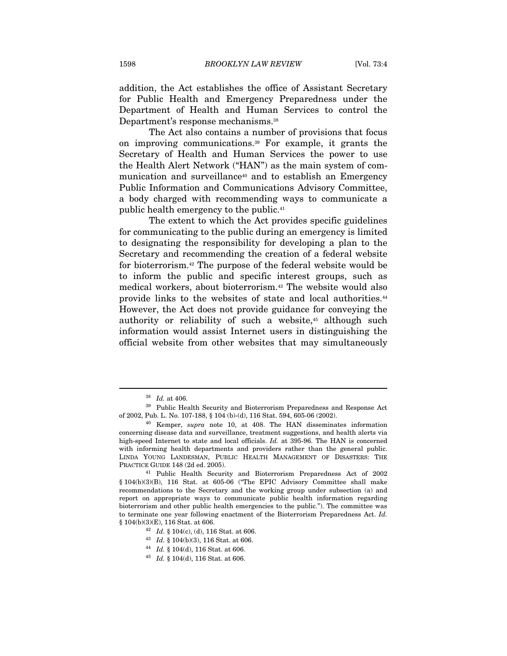addition, the Act establishes the office of Assistant Secretary for Public Health and Emergency Preparedness under the Department of Health and Human Services to control the Department's response mechanisms.<sup>38</sup>

The Act also contains a number of provisions that focus on improving communications.39 For example, it grants the Secretary of Health and Human Services the power to use the Health Alert Network ("HAN") as the main system of communication and surveillance<sup>40</sup> and to establish an Emergency Public Information and Communications Advisory Committee, a body charged with recommending ways to communicate a public health emergency to the public.41

The extent to which the Act provides specific guidelines for communicating to the public during an emergency is limited to designating the responsibility for developing a plan to the Secretary and recommending the creation of a federal website for bioterrorism.42 The purpose of the federal website would be to inform the public and specific interest groups, such as medical workers, about bioterrorism.43 The website would also provide links to the websites of state and local authorities.44 However, the Act does not provide guidance for conveying the authority or reliability of such a website,<sup>45</sup> although such information would assist Internet users in distinguishing the official website from other websites that may simultaneously

 $38$  Id. at 406.<br> $39$  Public Health Security and Bioterrorism Preparedness and Response Act

of 2002, Pub. L. No. 107-188, § 104 (b)-(d), 116 Stat. 594, 605-06 (2002).<br><sup>40</sup> Kemper, *supra* note 10, at 408. The HAN disseminates information concerning disease data and surveillance, treatment suggestions, and health alerts via high-speed Internet to state and local officials. Id. at 395-96. The HAN is concerned with informing health departments and providers rather than the general public. LINDA YOUNG LANDESMAN, PUBLIC HEALTH MANAGEMENT OF DISASTERS: THE PRACTICE GUIDE 148 (2d ed. 2005). 41 Public Health Security and Bioterrorism Preparedness Act of 2002

<sup>§ 104(</sup>b)(3)(B), 116 Stat. at 605-06 ("The EPIC Advisory Committee shall make recommendations to the Secretary and the working group under subsection (a) and report on appropriate ways to communicate public health information regarding bioterrorism and other public health emergencies to the public."). The committee was to terminate one year following enactment of the Bioterrorism Preparedness Act. Id.  $$ 104(b)(3)(E), 116 \text{ Stat. at } 606.$ <sup>42</sup> Id.  $$ 104(c), (d), 116 \text{ Stat. at } 606.$ 

<sup>43</sup> Id. § 104(b)(3), 116 Stat. at 606.<br>
44 Id. § 104(d), 116 Stat. at 606.<br>
45 Id. § 104(d), 116 Stat. at 606.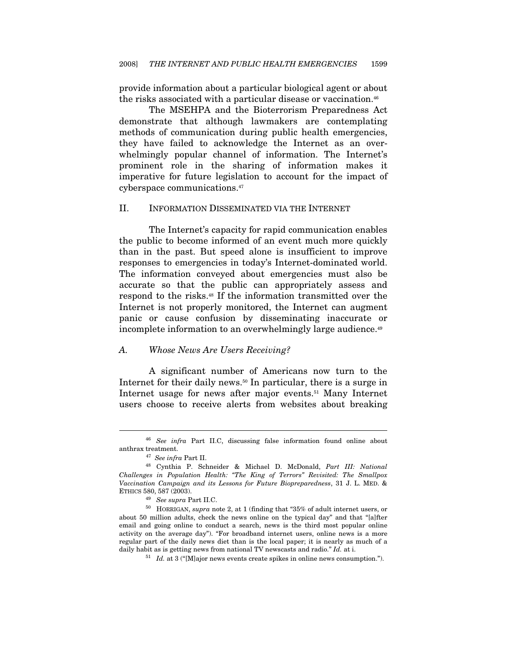provide information about a particular biological agent or about the risks associated with a particular disease or vaccination.<sup>46</sup>

The MSEHPA and the Bioterrorism Preparedness Act demonstrate that although lawmakers are contemplating methods of communication during public health emergencies, they have failed to acknowledge the Internet as an overwhelmingly popular channel of information. The Internet's prominent role in the sharing of information makes it imperative for future legislation to account for the impact of cyberspace communications.47

#### II. INFORMATION DISSEMINATED VIA THE INTERNET

The Internet's capacity for rapid communication enables the public to become informed of an event much more quickly than in the past. But speed alone is insufficient to improve responses to emergencies in today's Internet-dominated world. The information conveyed about emergencies must also be accurate so that the public can appropriately assess and respond to the risks.48 If the information transmitted over the Internet is not properly monitored, the Internet can augment panic or cause confusion by disseminating inaccurate or incomplete information to an overwhelmingly large audience.<sup>49</sup>

#### A. Whose News Are Users Receiving?

A significant number of Americans now turn to the Internet for their daily news.<sup>50</sup> In particular, there is a surge in Internet usage for news after major events.51 Many Internet users choose to receive alerts from websites about breaking

<sup>46</sup> See infra Part II.C, discussing false information found online about anthrax treatment.

<sup>&</sup>lt;sup>47</sup> See infra Part II.<br><sup>48</sup> Cynthia P. Schneider & Michael D. McDonald, *Part III: National* Challenges in Population Health: "The King of Terrors" Revisited: The Smallpox Vaccination Campaign and its Lessons for Future Biopreparedness, 31 J. L. MED. &  $\begin{array}{ll} \mbox{ETHICS 580, 587 (2003).}\\ \mbox{ $^{49}$} & \mbox{See supra Part II.C.} \end{array}$ 

 $^{50}\,$  HORRIGAN, supra note 2, at 1 (finding that "35% of adult internet users, or about 50 million adults, check the news online on the typical day" and that "[a]fter email and going online to conduct a search, news is the third most popular online activity on the average day"). "For broadband internet users, online news is a more regular part of the daily news diet than is the local paper; it is nearly as much of a daily habit as is getting news from national TV newscasts and radio." Id. at i.<br> $51$  Id. at 3 ("[M]ajor news events create spikes in online news consumption.").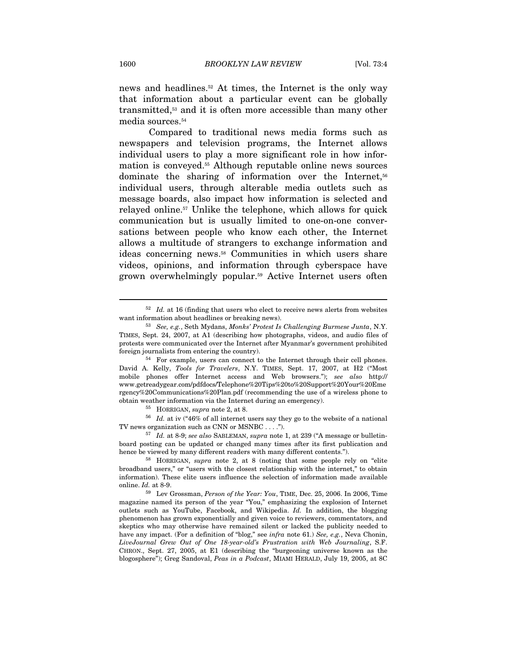news and headlines.<sup>52</sup> At times, the Internet is the only way that information about a particular event can be globally transmitted,53 and it is often more accessible than many other media sources.54

Compared to traditional news media forms such as newspapers and television programs, the Internet allows individual users to play a more significant role in how information is conveyed.55 Although reputable online news sources dominate the sharing of information over the Internet,<sup>56</sup> individual users, through alterable media outlets such as message boards, also impact how information is selected and relayed online.57 Unlike the telephone, which allows for quick communication but is usually limited to one-on-one conversations between people who know each other, the Internet allows a multitude of strangers to exchange information and ideas concerning news.58 Communities in which users share videos, opinions, and information through cyberspace have grown overwhelmingly popular.59 Active Internet users often

<sup>55</sup> HORRIGAN, *supra* note 2, at 8.  $Id.$  at iv ("46% of all internet users say they go to the website of a national TV news organization such as CNN or MSNBC . . . .").

 $52$  *Id.* at 16 (finding that users who elect to receive news alerts from websites want information about headlines or breaking news).<br><sup>53</sup> See, e.g., Seth Mydans, Monks' Protest Is Challenging Burmese Junta, N.Y.

TIMES, Sept. 24, 2007, at A1 (describing how photographs, videos, and audio files of protests were communicated over the Internet after Myanmar's government prohibited foreign journalists from entering the country).<br><sup>54</sup> For example, users can connect to the Internet through their cell phones.

David A. Kelly, Tools for Travelers, N.Y. TIMES, Sept. 17, 2007, at H2 ("Most mobile phones offer Internet access and Web browsers."); see also http:// www.getreadygear.com/pdfdocs/Telephone%20Tips%20to%20Support%20Your%20Eme rgency%20Communications%20Plan.pdf (recommending the use of a wireless phone to obtain weather information via the Internet during an emergency).

 $157$  Id. at 8-9; see also SABLEMAN, supra note 1, at 239 ("A message or bulletinboard posting can be updated or changed many times after its first publication and hence be viewed by many different readers with many different contents.").<br><sup>58</sup> HORRIGAN, *supra* note 2, at 8 (noting that some people rely on "elite

broadband users," or "users with the closest relationship with the internet," to obtain information). These elite users influence the selection of information made available

online.  $Id.$  at 8-9.<br><sup>59</sup> Lev Grossman, *Person of the Year: You*, TIME, Dec. 25, 2006. In 2006, Time magazine named its person of the year "You," emphasizing the explosion of Internet outlets such as YouTube, Facebook, and Wikipedia. Id. In addition, the blogging phenomenon has grown exponentially and given voice to reviewers, commentators, and skeptics who may otherwise have remained silent or lacked the publicity needed to have any impact. (For a definition of "blog," see infra note 61.) See, e.g., Neva Chonin, LiveJournal Grew Out of One 18-year-old's Frustration with Web Journaling, S.F. CHRON., Sept. 27, 2005, at E1 (describing the "burgeoning universe known as the blogosphere"); Greg Sandoval, Peas in a Podcast, MIAMI HERALD, July 19, 2005, at 8C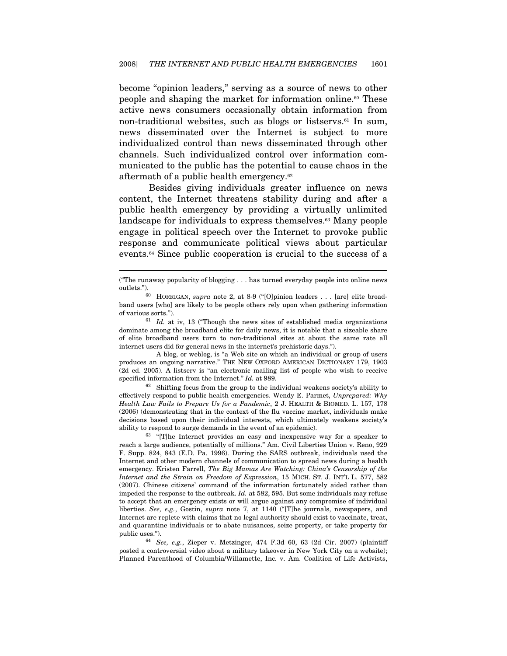become "opinion leaders," serving as a source of news to other people and shaping the market for information online.<sup>60</sup> These active news consumers occasionally obtain information from non-traditional websites, such as blogs or listservs.<sup>61</sup> In sum, news disseminated over the Internet is subject to more individualized control than news disseminated through other channels. Such individualized control over information communicated to the public has the potential to cause chaos in the aftermath of a public health emergency.62

Besides giving individuals greater influence on news content, the Internet threatens stability during and after a public health emergency by providing a virtually unlimited landscape for individuals to express themselves.<sup>63</sup> Many people engage in political speech over the Internet to provoke public response and communicate political views about particular events.64 Since public cooperation is crucial to the success of a

 $\overline{a}$ 

dominate among the broadband elite for daily news, it is notable that a sizeable share of elite broadband users turn to non-traditional sites at about the same rate all internet users did for general news in the internet's prehistoric days.").

 A blog, or weblog, is "a Web site on which an individual or group of users produces an ongoing narrative." THE NEW OXFORD AMERICAN DICTIONARY 179, 1903 (2d ed. 2005). A listserv is "an electronic mailing list of people who wish to receive specified information from the Internet." Id. at 989.<br><sup>62</sup> Shifting focus from the group to the individual weakens society's ability to

effectively respond to public health emergencies. Wendy E. Parmet, Unprepared: Why Health Law Fails to Prepare Us for a Pandemic, 2 J. HEALTH & BIOMED. L. 157, 178 (2006) (demonstrating that in the context of the flu vaccine market, individuals make decisions based upon their individual interests, which ultimately weakens society's

ability to respond to surge demands in the event of an epidemic). 63 "[T]he Internet provides an easy and inexpensive way for a speaker to reach a large audience, potentially of millions." Am. Civil Liberties Union v. Reno, 929 F. Supp. 824, 843 (E.D. Pa. 1996). During the SARS outbreak, individuals used the Internet and other modern channels of communication to spread news during a health emergency. Kristen Farrell, The Big Mamas Are Watching: China's Censorship of the Internet and the Strain on Freedom of Expression, 15 MICH. ST. J. INT'L L. 577, 582 (2007). Chinese citizens' command of the information fortunately aided rather than impeded the response to the outbreak. Id. at 582, 595. But some individuals may refuse to accept that an emergency exists or will argue against any compromise of individual liberties. See, e.g., Gostin, supra note 7, at 1140 ("[T]he journals, newspapers, and Internet are replete with claims that no legal authority should exist to vaccinate, treat, and quarantine individuals or to abate nuisances, seize property, or take property for public uses.").<br><sup>64</sup> See, e.g., Zieper v. Metzinger, 474 F.3d 60, 63 (2d Cir. 2007) (plaintiff

posted a controversial video about a military takeover in New York City on a website); Planned Parenthood of Columbia/Willamette, Inc. v. Am. Coalition of Life Activists,

<sup>(&</sup>quot;The runaway popularity of blogging . . . has turned everyday people into online news outlets."). 60 HORRIGAN, supra note 2, at 8-9 ("[O]pinion leaders . . . [are] elite broad-

band users [who] are likely to be people others rely upon when gathering information of various sorts.").  $61$  Id. at iv, 13 ("Though the news sites of established media organizations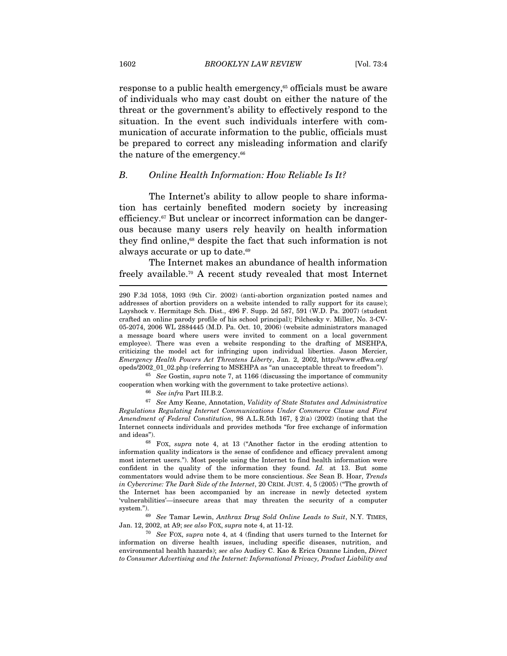response to a public health emergency,<sup>65</sup> officials must be aware of individuals who may cast doubt on either the nature of the threat or the government's ability to effectively respond to the situation. In the event such individuals interfere with communication of accurate information to the public, officials must be prepared to correct any misleading information and clarify the nature of the emergency.<sup>66</sup>

#### B. Online Health Information: How Reliable Is It?

The Internet's ability to allow people to share information has certainly benefited modern society by increasing efficiency.67 But unclear or incorrect information can be dangerous because many users rely heavily on health information they find online,<sup>68</sup> despite the fact that such information is not always accurate or up to date.<sup>69</sup>

The Internet makes an abundance of health information freely available.70 A recent study revealed that most Internet

 $65$  See Gostin, supra note 7, at 1166 (discussing the importance of community cooperation when working with the government to take protective actions).<br>  $^{66}$  See infra Part III.B.2.  $^{67}$  See Amy Keane, Annotation, Validity of State Statutes and Administrative

Regulations Regulating Internet Communications Under Commerce Clause and First Amendment of Federal Constitution, 98 A.L.R.5th 167, § 2(a) (2002) (noting that the Internet connects individuals and provides methods "for free exchange of information

and ideas").<br><sup>68</sup> FOX, *supra* note 4, at 13 ("Another factor in the eroding attention to information quality indicators is the sense of confidence and efficacy prevalent among most internet users."). Most people using the Internet to find health information were confident in the quality of the information they found. Id. at 13. But some commentators would advise them to be more conscientious. See Sean B. Hoar, Trends in Cybercrime: The Dark Side of the Internet, 20 CRIM. JUST. 4, 5 (2005) ("The growth of the Internet has been accompanied by an increase in newly detected system 'vulnerabilities'—insecure areas that may threaten the security of a computer system.").<br><sup>69</sup> See Tamar Lewin, Anthrax Drug Sold Online Leads to Suit, N.Y. TIMES,

Jan. 12, 2002, at A9; see also FOX, supra note 4, at 11-12.<br><sup>70</sup> See FOX, supra note 4, at 4 (finding that users turned to the Internet for

information on diverse health issues, including specific diseases, nutrition, and environmental health hazards); see also Audiey C. Kao & Erica Ozanne Linden, Direct to Consumer Advertising and the Internet: Informational Privacy, Product Liability and

<sup>290</sup> F.3d 1058, 1093 (9th Cir. 2002) (anti-abortion organization posted names and addresses of abortion providers on a website intended to rally support for its cause); Layshock v. Hermitage Sch. Dist., 496 F. Supp. 2d 587, 591 (W.D. Pa. 2007) (student crafted an online parody profile of his school principal); Pilchesky v. Miller, No. 3-CV-05-2074, 2006 WL 2884445 (M.D. Pa. Oct. 10, 2006) (website administrators managed a message board where users were invited to comment on a local government employee). There was even a website responding to the drafting of MSEHPA, criticizing the model act for infringing upon individual liberties. Jason Mercier, Emergency Health Powers Act Threatens Liberty, Jan. 2, 2002, http://www.effwa.org/ opeds/2002\_01\_02.php (referring to MSEHPA as "an unacceptable threat to freedom").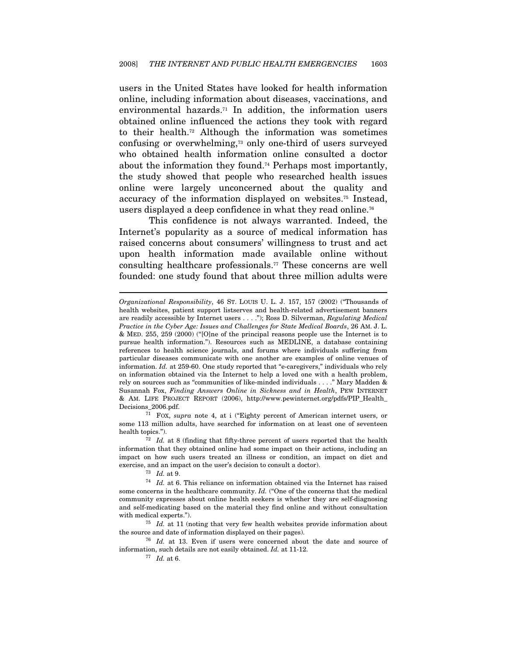users in the United States have looked for health information online, including information about diseases, vaccinations, and environmental hazards.<sup>71</sup> In addition, the information users obtained online influenced the actions they took with regard to their health.72 Although the information was sometimes confusing or overwhelming,73 only one-third of users surveyed who obtained health information online consulted a doctor about the information they found.74 Perhaps most importantly, the study showed that people who researched health issues online were largely unconcerned about the quality and accuracy of the information displayed on websites.75 Instead, users displayed a deep confidence in what they read online.<sup>76</sup>

This confidence is not always warranted. Indeed, the Internet's popularity as a source of medical information has raised concerns about consumers' willingness to trust and act upon health information made available online without consulting healthcare professionals.77 These concerns are well founded: one study found that about three million adults were

some 113 million adults, have searched for information on at least one of seventeen health topics.").<br> $\frac{72}{1}$  Id. at 8 (finding that fifty-three percent of users reported that the health

Organizational Responsibility, 46 ST. LOUIS U. L. J. 157, 157 (2002) ("Thousands of health websites, patient support listserves and health-related advertisement banners are readily accessible by Internet users . . . ."); Ross D. Silverman, Regulating Medical Practice in the Cyber Age: Issues and Challenges for State Medical Boards, 26 AM. J. L. & MED. 255, 259 (2000) ("[O]ne of the principal reasons people use the Internet is to pursue health information."). Resources such as MEDLINE, a database containing references to health science journals, and forums where individuals suffering from particular diseases communicate with one another are examples of online venues of information. Id. at 259-60. One study reported that "e-caregivers," individuals who rely on information obtained via the Internet to help a loved one with a health problem, rely on sources such as "communities of like-minded individuals . . . ." Mary Madden & Susannah Fox, Finding Answers Online in Sickness and in Health, PEW INTERNET & AM. LIFE PROJECT REPORT (2006), http://www.pewinternet.org/pdfs/PIP\_Health\_ Decisions\_2006.pdf. 71 FOX, supra note 4, at i ("Eighty percent of American internet users, or

information that they obtained online had some impact on their actions, including an impact on how such users treated an illness or condition, an impact on diet and

exercise, and an impact on the user's decision to consult a doctor).<br><sup>73</sup> Id. at 9. <sup>74</sup> Id. at 6. This reliance on information obtained via the Internet has raised some concerns in the healthcare community. Id. ("One of the concerns that the medical community expresses about online health seekers is whether they are self-diagnosing and self-medicating based on the material they find online and without consultation with medical experts.").  $75$  Id. at 11 (noting that very few health websites provide information about

the source and date of information displayed on their pages).<br><sup>76</sup> *Id.* at 13. Even if users were concerned about the date and source of

information, such details are not easily obtained. Id. at 11-12.  $^{77}$   $\,$  Id. at 6.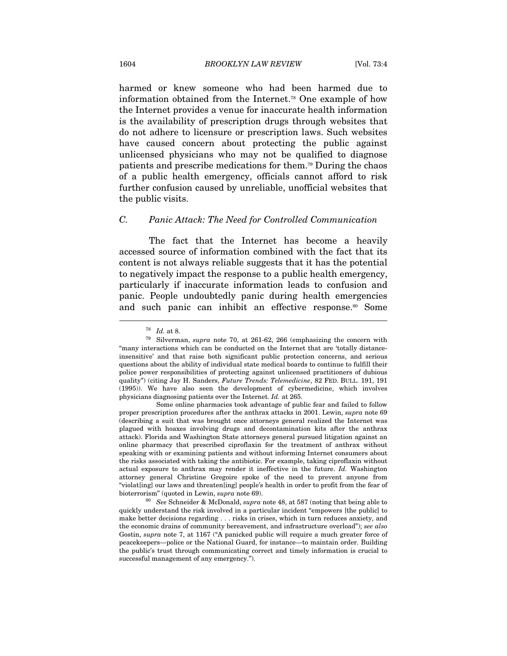harmed or knew someone who had been harmed due to information obtained from the Internet.78 One example of how the Internet provides a venue for inaccurate health information is the availability of prescription drugs through websites that do not adhere to licensure or prescription laws. Such websites have caused concern about protecting the public against unlicensed physicians who may not be qualified to diagnose patients and prescribe medications for them.79 During the chaos of a public health emergency, officials cannot afford to risk further confusion caused by unreliable, unofficial websites that the public visits.

#### C. Panic Attack: The Need for Controlled Communication

The fact that the Internet has become a heavily accessed source of information combined with the fact that its content is not always reliable suggests that it has the potential to negatively impact the response to a public health emergency, particularly if inaccurate information leads to confusion and panic. People undoubtedly panic during health emergencies and such panic can inhibit an effective response.<sup>80</sup> Some

 $\overline{a}$ 

 Some online pharmacies took advantage of public fear and failed to follow proper prescription procedures after the anthrax attacks in 2001. Lewin, supra note 69 (describing a suit that was brought once attorneys general realized the Internet was plagued with hoaxes involving drugs and decontamination kits after the anthrax attack). Florida and Washington State attorneys general pursued litigation against an online pharmacy that prescribed ciproflaxin for the treatment of anthrax without speaking with or examining patients and without informing Internet consumers about the risks associated with taking the antibiotic. For example, taking ciproflaxin without actual exposure to anthrax may render it ineffective in the future. Id. Washington attorney general Christine Gregoire spoke of the need to prevent anyone from "violat[ing] our laws and threaten[ing] people's health in order to profit from the fear of bioterrorism" (quoted in Lewin, *supra* note 69).<br><sup>80</sup> See Schneider & McDonald, *supra* note 48, at 587 (noting that being able to

quickly understand the risk involved in a particular incident "empowers [the public] to make better decisions regarding . . . risks in crises, which in turn reduces anxiety, and the economic drains of community bereavement, and infrastructure overload"); see also Gostin, supra note 7, at 1167 ("A panicked public will require a much greater force of peacekeepers—police or the National Guard, for instance—to maintain order. Building the public's trust through communicating correct and timely information is crucial to successful management of any emergency.").

<sup>&</sup>lt;sup>78</sup> Id. at 8.<br><sup>79</sup> Silverman, *supra* note 70, at 261-62, 266 (emphasizing the concern with "many interactions which can be conducted on the Internet that are 'totally distanceinsensitive' and that raise both significant public protection concerns, and serious questions about the ability of individual state medical boards to continue to fulfill their police power responsibilities of protecting against unlicensed practitioners of dubious quality") (citing Jay H. Sanders, Future Trends: Telemedicine, 82 FED. BULL. 191, 191 (1995)). We have also seen the development of cybermedicine, which involves physicians diagnosing patients over the Internet. Id. at 265.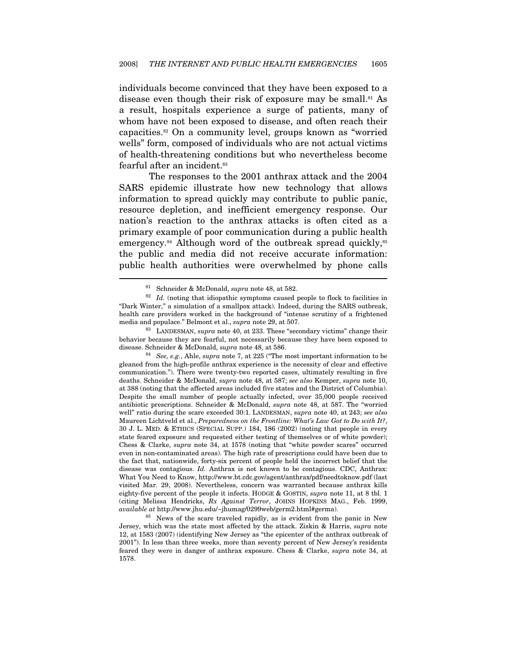individuals become convinced that they have been exposed to a disease even though their risk of exposure may be small.<sup>81</sup> As a result, hospitals experience a surge of patients, many of whom have not been exposed to disease, and often reach their capacities.82 On a community level, groups known as "worried wells" form, composed of individuals who are not actual victims of health-threatening conditions but who nevertheless become fearful after an incident.<sup>83</sup>

The responses to the 2001 anthrax attack and the 2004 SARS epidemic illustrate how new technology that allows information to spread quickly may contribute to public panic, resource depletion, and inefficient emergency response. Our nation's reaction to the anthrax attacks is often cited as a primary example of poor communication during a public health emergency.<sup>84</sup> Although word of the outbreak spread quickly,<sup>85</sup> the public and media did not receive accurate information: public health authorities were overwhelmed by phone calls  $\overline{a}$ 

gleaned from the high-profile anthrax experience is the necessity of clear and effective communication."). There were twenty-two reported cases, ultimately resulting in five deaths. Schneider & McDonald, supra note 48, at 587; see also Kemper, supra note 10, at 388 (noting that the affected areas included five states and the District of Columbia). Despite the small number of people actually infected, over 35,000 people received antibiotic prescriptions. Schneider & McDonald, supra note 48, at 587. The "worried well" ratio during the scare exceeded 30:1. LANDESMAN, *supra* note 40, at 243; see also Maureen Lichtveld et al., Preparedness on the Frontline: What's Law Got to Do with It?, 30 J. L. MED. & ETHICS (SPECIAL SUPP.) 184, 186 (2002) (noting that people in every state feared exposure and requested either testing of themselves or of white powder); Chess & Clarke, supra note 34, at 1578 (noting that "white powder scares" occurred even in non-contaminated areas). The high rate of prescriptions could have been due to the fact that, nationwide, forty-six percent of people held the incorrect belief that the disease was contagious. Id. Anthrax is not known to be contagious. CDC, Anthrax: What You Need to Know, http://www.bt.cdc.gov/agent/anthrax/pdf/needtoknow.pdf (last visited Mar. 29, 2008). Nevertheless, concern was warranted because anthrax kills eighty-five percent of the people it infects. HODGE & GOSTIN, supra note 11, at 8 tbl. 1 (citing Melissa Hendricks, Rx Against Terror, JOHNS HOPKINS MAG., Feb. 1999, available at http://www.jhu.edu/~jhumag/0299web/germ2.html#germa). 85 News of the scare traveled rapidly, as is evident from the panic in New

Jersey, which was the state most affected by the attack. Ziskin & Harris, supra note 12, at 1583 (2007) (identifying New Jersey as "the epicenter of the anthrax outbreak of 2001"). In less than three weeks, more than seventy percent of New Jersey's residents feared they were in danger of anthrax exposure. Chess & Clarke, supra note 34, at 1578.

<sup>&</sup>lt;sup>81</sup> Schneider & McDonald, *supra* note 48, at 582.<br><sup>82</sup> Id. (noting that idiopathic symptoms caused people to flock to facilities in "Dark Winter," a simulation of a smallpox attack). Indeed, during the SARS outbreak, health care providers worked in the background of "intense scrutiny of a frightened media and populace." Belmont et al., supra note 29, at 507.<br><sup>83</sup> LANDESMAN, supra note 40, at 233. These "secondary victims" change their

behavior because they are fearful, not necessarily because they have been exposed to disease. Schneider & McDonald, *supra* note 48, at 586.<br><sup>84</sup> See, e.g., Ahle, *supra* note 7, at 225 ("The most important information to be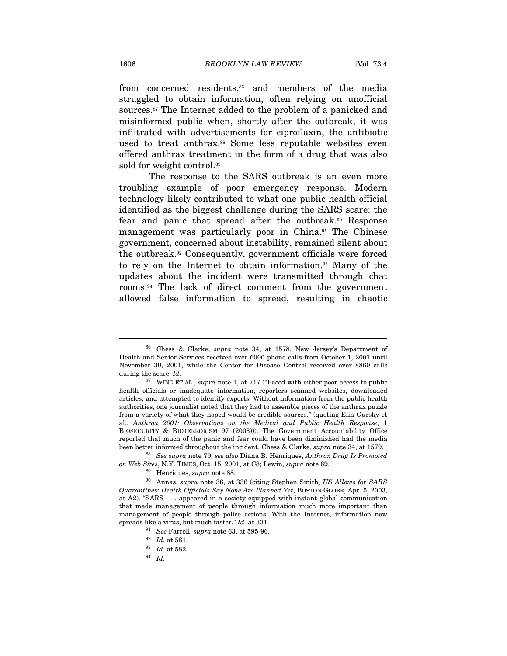from concerned residents,<sup>86</sup> and members of the media struggled to obtain information, often relying on unofficial sources.87 The Internet added to the problem of a panicked and misinformed public when, shortly after the outbreak, it was infiltrated with advertisements for ciproflaxin, the antibiotic used to treat anthrax.<sup>88</sup> Some less reputable websites even offered anthrax treatment in the form of a drug that was also sold for weight control.<sup>89</sup>

The response to the SARS outbreak is an even more troubling example of poor emergency response. Modern technology likely contributed to what one public health official identified as the biggest challenge during the SARS scare: the fear and panic that spread after the outbreak.90 Response management was particularly poor in China.<sup>91</sup> The Chinese government, concerned about instability, remained silent about the outbreak.92 Consequently, government officials were forced to rely on the Internet to obtain information.93 Many of the updates about the incident were transmitted through chat rooms.94 The lack of direct comment from the government allowed false information to spread, resulting in chaotic

<sup>86</sup> Chess & Clarke, supra note 34, at 1578. New Jersey's Department of Health and Senior Services received over 6000 phone calls from October 1, 2001 until November 30, 2001, while the Center for Disease Control received over 8860 calls

during the scare. Id. 87 WING ET AL., supra note 1, at 717 ("Faced with either poor access to public health officials or inadequate information, reporters scanned websites, downloaded articles, and attempted to identify experts. Without information from the public health authorities, one journalist noted that they had to assemble pieces of the anthrax puzzle from a variety of what they hoped would be credible sources." (quoting Elin Gursky et al., Anthrax 2001: Observations on the Medical and Public Health Response, 1 BIOSECURITY & BIOTERRORISM 97 (2003))). The Government Accountability Office reported that much of the panic and fear could have been diminished had the media<br>been better informed throughout the incident. Chess & Clarke, *supra* note 34, at 1579.

 $b<sup>88</sup>$  See supra note 79; see also Diana B. Henriques, Anthrax Drug Is Promoted % on Web Sites, N.Y. TIMES, Oct. 15, 2001, at C8; Lewin, supra note 69.<br><sup>89</sup> Henriques, supra note 88. <sup>90</sup> Annas, supra note 36, at 336 (citing Stephen Smith, *US Allows for SARS* 

Quarantines; Health Officials Say None Are Planned Yet, BOSTON GLOBE, Apr. 5, 2003, at A2). "SARS . . . appeared in a society equipped with instant global communication that made management of people through information much more important than management of people through police actions. With the Internet, information now spreads like a virus, but much faster."  $Id$ . at 331.<br><sup>91</sup> See Farrell, supra note 63, at 595-96.

 $\begin{array}{c} 92 \ 93 \ 94 \ 95 \ \end{array}$  *Id.* at 582.<br>
94 *Id.*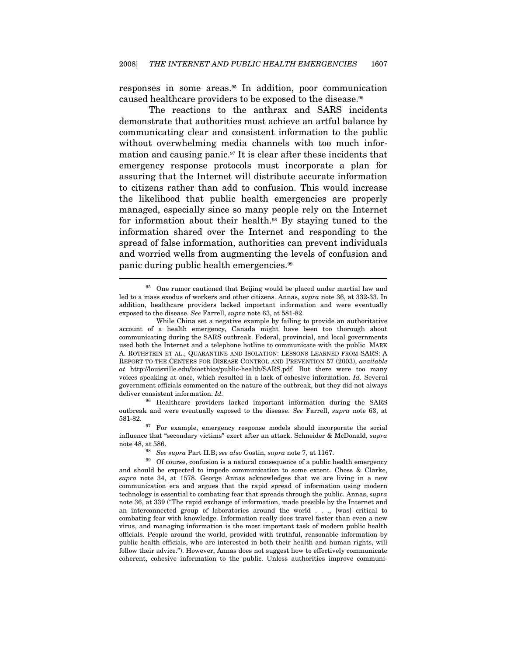responses in some areas.95 In addition, poor communication caused healthcare providers to be exposed to the disease.96

The reactions to the anthrax and SARS incidents demonstrate that authorities must achieve an artful balance by communicating clear and consistent information to the public without overwhelming media channels with too much information and causing panic.97 It is clear after these incidents that emergency response protocols must incorporate a plan for assuring that the Internet will distribute accurate information to citizens rather than add to confusion. This would increase the likelihood that public health emergencies are properly managed, especially since so many people rely on the Internet for information about their health.98 By staying tuned to the information shared over the Internet and responding to the spread of false information, authorities can prevent individuals and worried wells from augmenting the levels of confusion and panic during public health emergencies.99

 $\overline{a}$ 

<sup>96</sup> Healthcare providers lacked important information during the SARS outbreak and were eventually exposed to the disease. See Farrell, supra note 63, at 581-82. 97 For example, emergency response models should incorporate the social

influence that "secondary victims" exert after an attack. Schneider & McDonald, supra

<sup>&</sup>lt;sup>95</sup> One rumor cautioned that Beijing would be placed under martial law and led to a mass exodus of workers and other citizens. Annas, supra note 36, at 332-33. In addition, healthcare providers lacked important information and were eventually exposed to the disease. See Farrell, supra note 63, at 581-82.

While China set a negative example by failing to provide an authoritative account of a health emergency, Canada might have been too thorough about communicating during the SARS outbreak. Federal, provincial, and local governments used both the Internet and a telephone hotline to communicate with the public. MARK A. ROTHSTEIN ET AL., QUARANTINE AND ISOLATION: LESSONS LEARNED FROM SARS: A REPORT TO THE CENTERS FOR DISEASE CONTROL AND PREVENTION 57 (2003), available at http://louisville.edu/bioethics/public-health/SARS.pdf. But there were too many voices speaking at once, which resulted in a lack of cohesive information. Id. Several government officials commented on the nature of the outbreak, but they did not always deliver consistent information. Id.

note 48, at 586.<br><sup>98</sup> See supra Part II.B; see also Gostin, supra note 7, at 1167.<br><sup>99</sup> Of course, confusion is a natural consequence of a public health emergency and should be expected to impede communication to some extent. Chess & Clarke, supra note 34, at 1578. George Annas acknowledges that we are living in a new communication era and argues that the rapid spread of information using modern technology is essential to combating fear that spreads through the public. Annas, supra note 36, at 339 ("The rapid exchange of information, made possible by the Internet and an interconnected group of laboratories around the world . . ., [was] critical to combating fear with knowledge. Information really does travel faster than even a new virus, and managing information is the most important task of modern public health officials. People around the world, provided with truthful, reasonable information by public health officials, who are interested in both their health and human rights, will follow their advice."). However, Annas does not suggest how to effectively communicate coherent, cohesive information to the public. Unless authorities improve communi-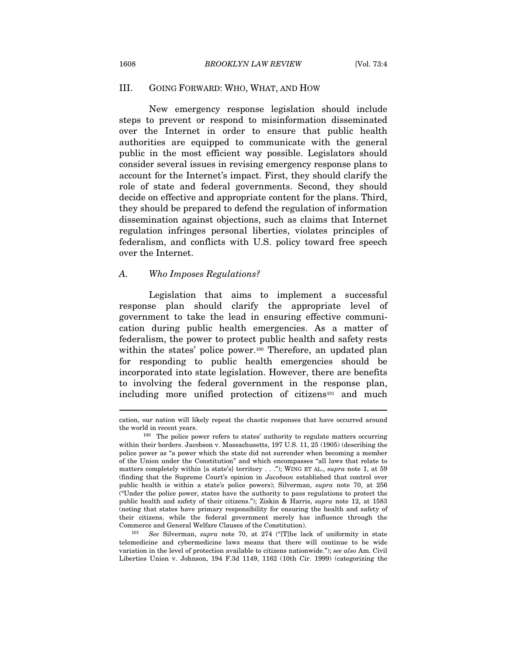#### III. GOING FORWARD: WHO, WHAT, AND HOW

New emergency response legislation should include steps to prevent or respond to misinformation disseminated over the Internet in order to ensure that public health authorities are equipped to communicate with the general public in the most efficient way possible. Legislators should consider several issues in revising emergency response plans to account for the Internet's impact. First, they should clarify the role of state and federal governments. Second, they should decide on effective and appropriate content for the plans. Third, they should be prepared to defend the regulation of information dissemination against objections, such as claims that Internet regulation infringes personal liberties, violates principles of federalism, and conflicts with U.S. policy toward free speech over the Internet.

#### A. Who Imposes Regulations?

Legislation that aims to implement a successful response plan should clarify the appropriate level of government to take the lead in ensuring effective communication during public health emergencies. As a matter of federalism, the power to protect public health and safety rests within the states' police power.<sup>100</sup> Therefore, an updated plan for responding to public health emergencies should be incorporated into state legislation. However, there are benefits to involving the federal government in the response plan, including more unified protection of citizens<sup>101</sup> and much

cation, our nation will likely repeat the chaotic responses that have occurred around

the world in recent years.  $100\,\,$  The police power refers to states' authority to regulate matters occurring within their borders. Jacobson v. Massachusetts, 197 U.S. 11, 25 (1905) (describing the police power as "a power which the state did not surrender when becoming a member of the Union under the Constitution" and which encompasses "all laws that relate to matters completely within [a state's] territory . . ."); WING ET AL., supra note 1, at 59 (finding that the Supreme Court's opinion in Jacobson established that control over public health is within a state's police powers); Silverman, supra note 70, at 256 ("Under the police power, states have the authority to pass regulations to protect the public health and safety of their citizens."); Ziskin & Harris, supra note 12, at 1583 (noting that states have primary responsibility for ensuring the health and safety of their citizens, while the federal government merely has influence through the Commerce and General Welfare Clauses of the Constitution).<br><sup>101</sup> See Silverman, supra note 70, at 274 ("[T]he lack of uniformity in state

telemedicine and cybermedicine laws means that there will continue to be wide variation in the level of protection available to citizens nationwide."); see also Am. Civil Liberties Union v. Johnson, 194 F.3d 1149, 1162 (10th Cir. 1999) (categorizing the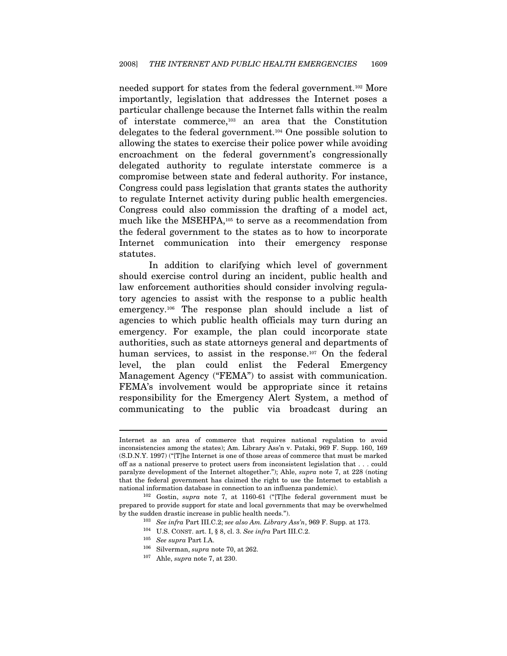needed support for states from the federal government.102 More importantly, legislation that addresses the Internet poses a particular challenge because the Internet falls within the realm of interstate commerce,103 an area that the Constitution delegates to the federal government.104 One possible solution to allowing the states to exercise their police power while avoiding encroachment on the federal government's congressionally delegated authority to regulate interstate commerce is a compromise between state and federal authority. For instance, Congress could pass legislation that grants states the authority to regulate Internet activity during public health emergencies. Congress could also commission the drafting of a model act, much like the MSEHPA,105 to serve as a recommendation from the federal government to the states as to how to incorporate Internet communication into their emergency response statutes.

In addition to clarifying which level of government should exercise control during an incident, public health and law enforcement authorities should consider involving regulatory agencies to assist with the response to a public health emergency.106 The response plan should include a list of agencies to which public health officials may turn during an emergency. For example, the plan could incorporate state authorities, such as state attorneys general and departments of human services, to assist in the response.<sup>107</sup> On the federal level, the plan could enlist the Federal Emergency Management Agency ("FEMA") to assist with communication. FEMA's involvement would be appropriate since it retains responsibility for the Emergency Alert System, a method of communicating to the public via broadcast during an

Internet as an area of commerce that requires national regulation to avoid inconsistencies among the states); Am. Library Ass'n v. Pataki, 969 F. Supp. 160, 169 (S.D.N.Y. 1997) ("[T]he Internet is one of those areas of commerce that must be marked off as a national preserve to protect users from inconsistent legislation that . . . could paralyze development of the Internet altogether."); Ahle, supra note 7, at 228 (noting that the federal government has claimed the right to use the Internet to establish a national information database in connection to an influenza pandemic).<br><sup>102</sup> Gostin, *supra* note 7, at 1160-61 ("[T]he federal government must be

prepared to provide support for state and local governments that may be overwhelmed by the sudden drastic increase in public health needs.").<br>
<sup>103</sup> See infra Part III.C.2; see also Am. Library Ass'n, 969 F. Supp. at 173.<br>
<sup>104</sup> U.S. CONST. art. I, § 8, cl. 3. See infra Part III.C.2.

<sup>&</sup>lt;sup>105</sup> See supra Part I.A.<br><sup>106</sup> Silverman, supra note 70, at 262.<br><sup>107</sup> Ahle, supra note 7, at 230.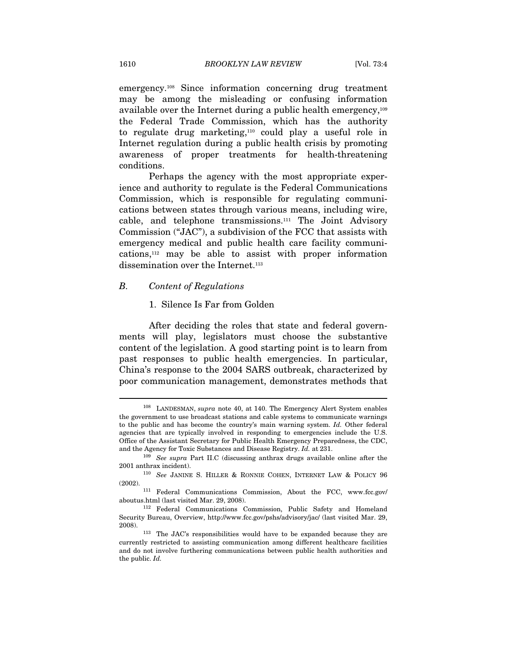emergency.108 Since information concerning drug treatment may be among the misleading or confusing information available over the Internet during a public health emergency,109 the Federal Trade Commission, which has the authority to regulate drug marketing,110 could play a useful role in Internet regulation during a public health crisis by promoting awareness of proper treatments for health-threatening conditions.

Perhaps the agency with the most appropriate experience and authority to regulate is the Federal Communications Commission, which is responsible for regulating communications between states through various means, including wire, cable, and telephone transmissions.111 The Joint Advisory Commission ("JAC"), a subdivision of the FCC that assists with emergency medical and public health care facility communications,112 may be able to assist with proper information dissemination over the Internet.<sup>113</sup>

#### B. Content of Regulations

#### 1. Silence Is Far from Golden

After deciding the roles that state and federal governments will play, legislators must choose the substantive content of the legislation. A good starting point is to learn from past responses to public health emergencies. In particular, China's response to the 2004 SARS outbreak, characterized by poor communication management, demonstrates methods that

<sup>&</sup>lt;sup>108</sup> LANDESMAN, *supra* note 40, at 140. The Emergency Alert System enables the government to use broadcast stations and cable systems to communicate warnings to the public and has become the country's main warning system. Id. Other federal agencies that are typically involved in responding to emergencies include the U.S. Office of the Assistant Secretary for Public Health Emergency Preparedness, the CDC, and the Agency for Toxic Substances and Disease Registry.  $Id$ . at 231.

 $109$  See supra Part II.C (discussing anthrax drugs available online after the 2001 anthrax incident). 110 See JANINE S. HILLER & RONNIE COHEN, INTERNET LAW & POLICY 96

<sup>(2002). 111</sup> Federal Communications Commission, About the FCC, www.fcc.gov/ aboutus.html (last visited Mar. 29, 2008). 112 Federal Communications Commission, Public Safety and Homeland

Security Bureau, Overview, http://www.fcc.gov/pshs/advisory/jac/ (last visited Mar. 29, 2008). 113 The JAC's responsibilities would have to be expanded because they are

currently restricted to assisting communication among different healthcare facilities and do not involve furthering communications between public health authorities and the public. Id.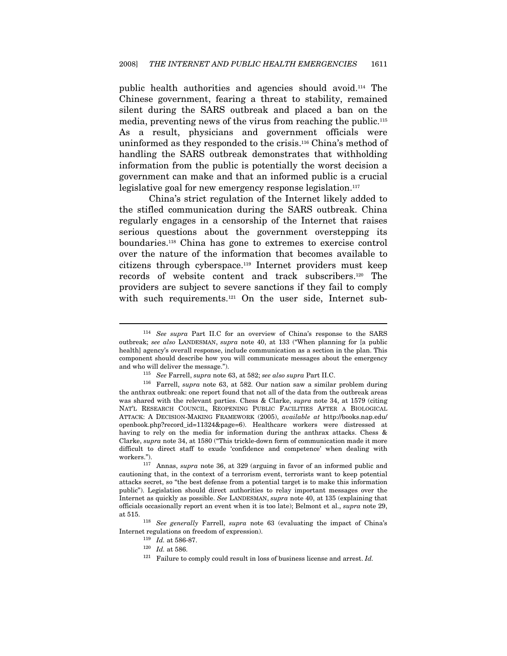public health authorities and agencies should avoid.114 The Chinese government, fearing a threat to stability, remained silent during the SARS outbreak and placed a ban on the media, preventing news of the virus from reaching the public.115 As a result, physicians and government officials were uninformed as they responded to the crisis.116 China's method of handling the SARS outbreak demonstrates that withholding information from the public is potentially the worst decision a government can make and that an informed public is a crucial legislative goal for new emergency response legislation.<sup>117</sup>

China's strict regulation of the Internet likely added to the stifled communication during the SARS outbreak. China regularly engages in a censorship of the Internet that raises serious questions about the government overstepping its boundaries.118 China has gone to extremes to exercise control over the nature of the information that becomes available to citizens through cyberspace.119 Internet providers must keep records of website content and track subscribers.120 The providers are subject to severe sanctions if they fail to comply with such requirements.<sup>121</sup> On the user side, Internet sub-

<sup>114</sup> See supra Part II.C for an overview of China's response to the SARS outbreak; see also LANDESMAN, supra note 40, at 133 ("When planning for [a public health] agency's overall response, include communication as a section in the plan. This component should describe how you will communicate messages about the emergency

and who will deliver the message.").<br><sup>115</sup> See Farrell, supra note 63, at 582; see also supra Part II.C. <sup>116</sup> Farrell, supra note 63, at 582. Our nation saw a similar problem during the anthrax outbreak: one report found that not all of the data from the outbreak areas was shared with the relevant parties. Chess & Clarke, supra note 34, at 1579 (citing NAT'L RESEARCH COUNCIL, REOPENING PUBLIC FACILITIES AFTER A BIOLOGICAL ATTACK: A DECISION-MAKING FRAMEWORK (2005), available at http://books.nap.edu/ openbook.php?record\_id=11324&page=6). Healthcare workers were distressed at having to rely on the media for information during the anthrax attacks. Chess & Clarke, supra note 34, at 1580 ("This trickle-down form of communication made it more difficult to direct staff to exude 'confidence and competence' when dealing with workers.").<br><sup>117</sup> Annas, *supra* note 36, at 329 (arguing in favor of an informed public and

cautioning that, in the context of a terrorism event, terrorists want to keep potential attacks secret, so "the best defense from a potential target is to make this information public"). Legislation should direct authorities to relay important messages over the Internet as quickly as possible. See LANDESMAN, supra note 40, at 135 (explaining that officials occasionally report an event when it is too late); Belmont et al., supra note 29,

at 515. 118 See generally Farrell, supra note 63 (evaluating the impact of China's Internet regulations on freedom of expression).  $119 \;$  Id. at 586-87.  $120 \;$  Id. at 586. Failure to comply could result in loss of business license and arrest. Id.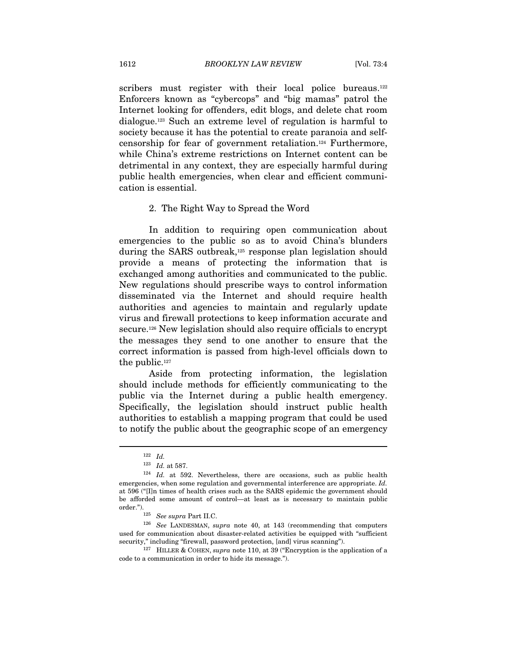scribers must register with their local police bureaus.<sup>122</sup> Enforcers known as "cybercops" and "big mamas" patrol the Internet looking for offenders, edit blogs, and delete chat room dialogue.123 Such an extreme level of regulation is harmful to society because it has the potential to create paranoia and selfcensorship for fear of government retaliation.124 Furthermore, while China's extreme restrictions on Internet content can be detrimental in any context, they are especially harmful during public health emergencies, when clear and efficient communication is essential.

#### 2. The Right Way to Spread the Word

In addition to requiring open communication about emergencies to the public so as to avoid China's blunders during the SARS outbreak,125 response plan legislation should provide a means of protecting the information that is exchanged among authorities and communicated to the public. New regulations should prescribe ways to control information disseminated via the Internet and should require health authorities and agencies to maintain and regularly update virus and firewall protections to keep information accurate and secure.126 New legislation should also require officials to encrypt the messages they send to one another to ensure that the correct information is passed from high-level officials down to the public.<sup>127</sup>

Aside from protecting information, the legislation should include methods for efficiently communicating to the public via the Internet during a public health emergency. Specifically, the legislation should instruct public health authorities to establish a mapping program that could be used to notify the public about the geographic scope of an emergency

 $\begin{array}{ll} 122 & Id. \\ 123 & Id. \ \text{at } 587. \end{array}$ 

 $124$  *Id.* at 592. Nevertheless, there are occasions, such as public health emergencies, when some regulation and governmental interference are appropriate. Id. at 596 ("[I]n times of health crises such as the SARS epidemic the government should be afforded some amount of control—at least as is necessary to maintain public order.").<br><sup>125</sup> See supra Part II.C.<br><sup>126</sup> See LANDESMAN, *supra* note 40, at 143 (recommending that computers

used for communication about disaster-related activities be equipped with "sufficient security," including "firewall, password protection, [and] virus scanning").<br><sup>127</sup> HILLER & COHEN, *supra* note 110, at 39 ("Encryption is the application of a

code to a communication in order to hide its message.").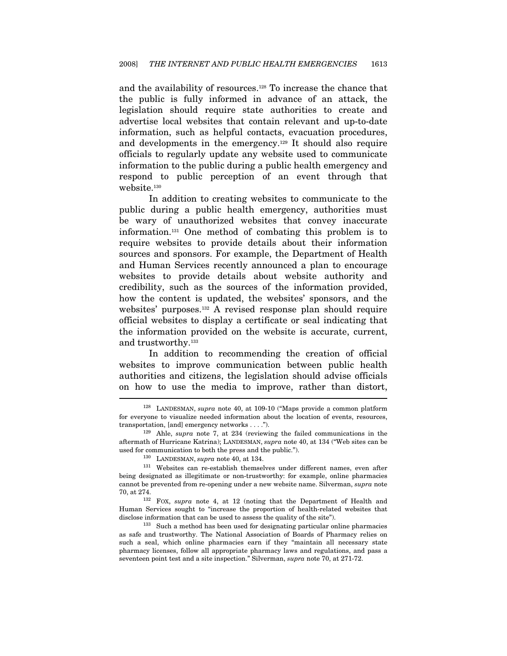and the availability of resources.128 To increase the chance that the public is fully informed in advance of an attack, the legislation should require state authorities to create and advertise local websites that contain relevant and up-to-date information, such as helpful contacts, evacuation procedures, and developments in the emergency.129 It should also require officials to regularly update any website used to communicate information to the public during a public health emergency and respond to public perception of an event through that website.130

In addition to creating websites to communicate to the public during a public health emergency, authorities must be wary of unauthorized websites that convey inaccurate information.131 One method of combating this problem is to require websites to provide details about their information sources and sponsors. For example, the Department of Health and Human Services recently announced a plan to encourage websites to provide details about website authority and credibility, such as the sources of the information provided, how the content is updated, the websites' sponsors, and the websites' purposes.132 A revised response plan should require official websites to display a certificate or seal indicating that the information provided on the website is accurate, current, and trustworthy.133

In addition to recommending the creation of official websites to improve communication between public health authorities and citizens, the legislation should advise officials on how to use the media to improve, rather than distort,

<sup>&</sup>lt;sup>128</sup> LANDESMAN, supra note 40, at 109-10 ("Maps provide a common platform for everyone to visualize needed information about the location of events, resources, transportation, [and] emergency networks . . . .").<br><sup>129</sup> Ahle, *supra* note 7, at 234 (reviewing the failed communications in the

aftermath of Hurricane Katrina); LANDESMAN, supra note 40, at 134 ("Web sites can be used for communication to both the press and the public.").  $^{130}$  LANDESMAN, *supra* note 40, at 134.

<sup>131</sup> Websites can re-establish themselves under different names, even after being designated as illegitimate or non-trustworthy: for example, online pharmacies cannot be prevented from re-opening under a new website name. Silverman, *supra* note 70, at 274.

 $132$  FOX, supra note 4, at 12 (noting that the Department of Health and Human Services sought to "increase the proportion of health-related websites that disclose information that can be used to assess the quality of the site").<br><sup>133</sup> Such a method has been used for designating particular online pharmacies

as safe and trustworthy. The National Association of Boards of Pharmacy relies on such a seal, which online pharmacies earn if they "maintain all necessary state pharmacy licenses, follow all appropriate pharmacy laws and regulations, and pass a seventeen point test and a site inspection." Silverman, supra note 70, at 271-72.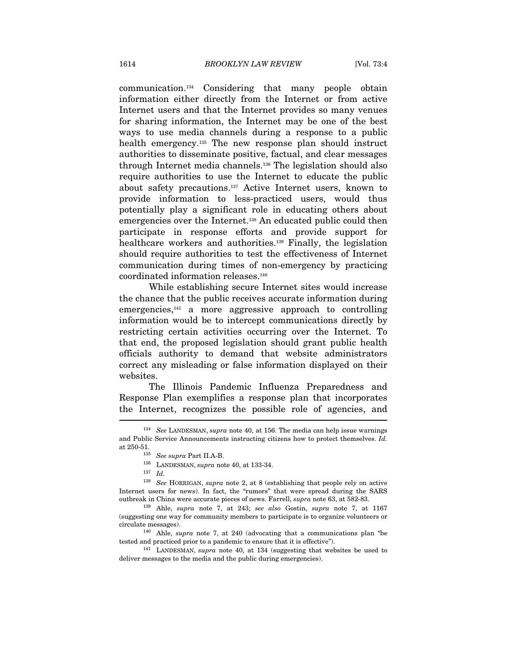communication.134 Considering that many people obtain information either directly from the Internet or from active Internet users and that the Internet provides so many venues for sharing information, the Internet may be one of the best ways to use media channels during a response to a public health emergency.<sup>135</sup> The new response plan should instruct authorities to disseminate positive, factual, and clear messages through Internet media channels.136 The legislation should also require authorities to use the Internet to educate the public about safety precautions.137 Active Internet users, known to provide information to less-practiced users, would thus potentially play a significant role in educating others about emergencies over the Internet.138 An educated public could then participate in response efforts and provide support for healthcare workers and authorities.<sup>139</sup> Finally, the legislation should require authorities to test the effectiveness of Internet communication during times of non-emergency by practicing coordinated information releases.140

While establishing secure Internet sites would increase the chance that the public receives accurate information during emergencies,<sup>141</sup> a more aggressive approach to controlling information would be to intercept communications directly by restricting certain activities occurring over the Internet. To that end, the proposed legislation should grant public health officials authority to demand that website administrators correct any misleading or false information displayed on their websites.

The Illinois Pandemic Influenza Preparedness and Response Plan exemplifies a response plan that incorporates the Internet, recognizes the possible role of agencies, and  $\overline{\phantom{a}}$ 

 $134$  See LANDESMAN, supra note 40, at 156. The media can help issue warnings and Public Service Announcements instructing citizens how to protect themselves. Id. at 250-51.<br><sup>135</sup> See supra Part II.A-B.<br><sup>136</sup> LANDESMAN, supra note 40, at 133-34.<br><sup>137</sup> Id.

<sup>138</sup> See HORRIGAN, supra note 2, at 8 (establishing that people rely on active Internet users for news). In fact, the "rumors" that were spread during the SARS outbreak in China were accurate pieces of news. Farrell, supra note 63, at 582-83.

<sup>139</sup> Ahle, supra note 7, at 243; see also Gostin, supra note 7, at 1167 (suggesting one way for community members to participate is to organize volunteers or circulate messages).  $140$  Ahle, *supra* note 7, at 240 (advocating that a communications plan "be

tested and practiced prior to a pandemic to ensure that it is effective").<br><sup>141</sup> LANDESMAN, *supra* note 40, at 134 (suggesting that websites be used to

deliver messages to the media and the public during emergencies).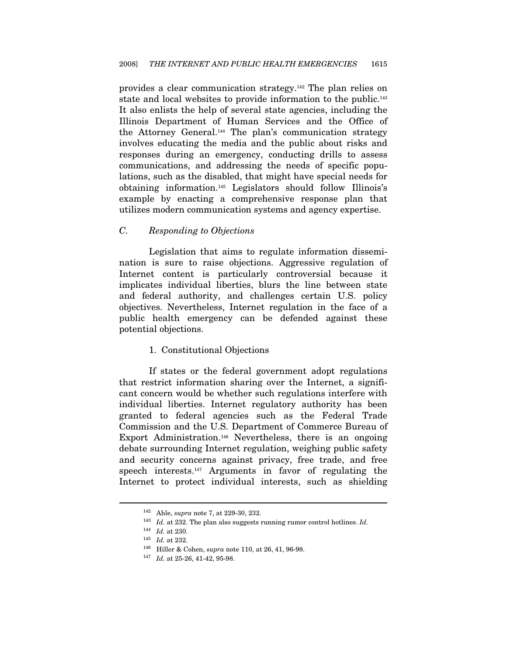provides a clear communication strategy.142 The plan relies on state and local websites to provide information to the public.143 It also enlists the help of several state agencies, including the Illinois Department of Human Services and the Office of the Attorney General.144 The plan's communication strategy involves educating the media and the public about risks and responses during an emergency, conducting drills to assess communications, and addressing the needs of specific populations, such as the disabled, that might have special needs for obtaining information.145 Legislators should follow Illinois's example by enacting a comprehensive response plan that utilizes modern communication systems and agency expertise.

#### C. Responding to Objections

Legislation that aims to regulate information dissemination is sure to raise objections. Aggressive regulation of Internet content is particularly controversial because it implicates individual liberties, blurs the line between state and federal authority, and challenges certain U.S. policy objectives. Nevertheless, Internet regulation in the face of a public health emergency can be defended against these potential objections.

#### 1. Constitutional Objections

If states or the federal government adopt regulations that restrict information sharing over the Internet, a significant concern would be whether such regulations interfere with individual liberties. Internet regulatory authority has been granted to federal agencies such as the Federal Trade Commission and the U.S. Department of Commerce Bureau of Export Administration.146 Nevertheless, there is an ongoing debate surrounding Internet regulation, weighing public safety and security concerns against privacy, free trade, and free speech interests.147 Arguments in favor of regulating the Internet to protect individual interests, such as shielding

<sup>&</sup>lt;sup>142</sup> Ahle, *supra* note 7, at 229-30, 232.<br><sup>143</sup> Id. at 232. The plan also suggests running rumor control hotlines. Id.

 $144$  *Id.* at 230.

<sup>145</sup> Id. at 232.<br>
146 Hiller & Cohen, supra note 110, at 26, 41, 96-98.<br>
147 Id. at 25-26, 41-42, 95-98.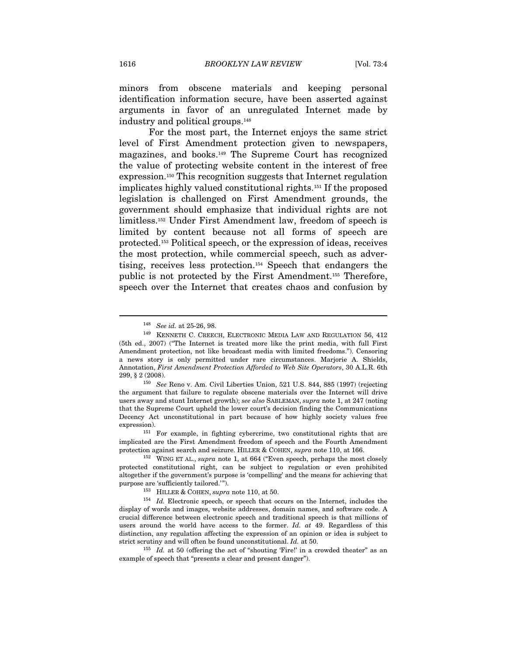minors from obscene materials and keeping personal identification information secure, have been asserted against arguments in favor of an unregulated Internet made by industry and political groups.148

For the most part, the Internet enjoys the same strict level of First Amendment protection given to newspapers, magazines, and books.149 The Supreme Court has recognized the value of protecting website content in the interest of free expression.150 This recognition suggests that Internet regulation implicates highly valued constitutional rights.151 If the proposed legislation is challenged on First Amendment grounds, the government should emphasize that individual rights are not limitless.152 Under First Amendment law, freedom of speech is limited by content because not all forms of speech are protected.153 Political speech, or the expression of ideas, receives the most protection, while commercial speech, such as advertising, receives less protection.154 Speech that endangers the public is not protected by the First Amendment.155 Therefore, speech over the Internet that creates chaos and confusion by

implicated are the First Amendment freedom of speech and the Fourth Amendment

protection against search and seizure. HILLER & COHEN, *supra* note 110, at 166.<br><sup>152</sup> WING ET AL., *supra* note 1, at 664 ("Even speech, perhaps the most closely protected constitutional right, can be subject to regulation or even prohibited altogether if the government's purpose is 'compelling' and the means for achieving that purpose are 'sufficiently tailored.'").<br>
<sup>153</sup> HILLER & COHEN, *supra* note 110, at 50.<br>
<sup>154</sup> *Id.* Electronic speech, or speech that occurs on the Internet, includes the

display of words and images, website addresses, domain names, and software code. A crucial difference between electronic speech and traditional speech is that millions of users around the world have access to the former. Id. at 49. Regardless of this distinction, any regulation affecting the expression of an opinion or idea is subject to strict scrutiny and will often be found unconstitutional. Id. at 50.

 $155$  *Id.* at 50 (offering the act of "shouting 'Fire!' in a crowded theater" as an example of speech that "presents a clear and present danger").

<sup>148</sup> See id. at 25-26, 98.

<sup>149</sup> KENNETH C. CREECH, ELECTRONIC MEDIA LAW AND REGULATION 56, 412 (5th ed., 2007) ("The Internet is treated more like the print media, with full First Amendment protection, not like broadcast media with limited freedoms."). Censoring a news story is only permitted under rare circumstances. Marjorie A. Shields, Annotation, First Amendment Protection Afforded to Web Site Operators, 30 A.L.R. 6th 299, § 2 (2008).

 $^{150}\,$  See Reno v. Am. Civil Liberties Union, 521 U.S. 844, 885 (1997) (rejecting the argument that failure to regulate obscene materials over the Internet will drive users away and stunt Internet growth); see also SABLEMAN, supra note 1, at 247 (noting that the Supreme Court upheld the lower court's decision finding the Communications Decency Act unconstitutional in part because of how highly society values free expression). 151 For example, in fighting cybercrime, two constitutional rights that are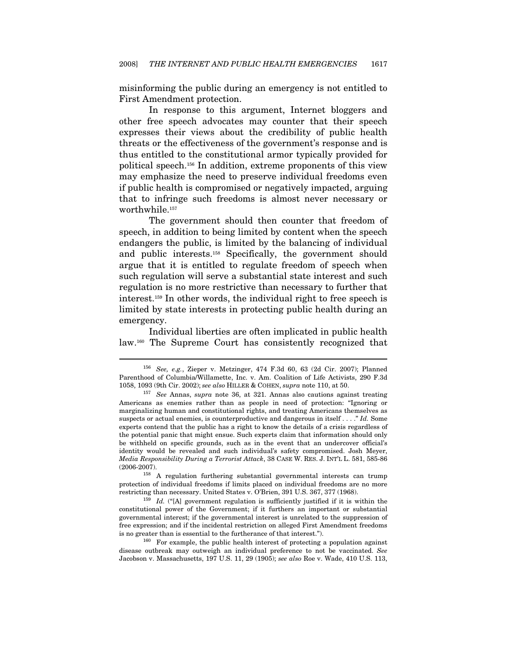misinforming the public during an emergency is not entitled to First Amendment protection.

In response to this argument, Internet bloggers and other free speech advocates may counter that their speech expresses their views about the credibility of public health threats or the effectiveness of the government's response and is thus entitled to the constitutional armor typically provided for political speech.156 In addition, extreme proponents of this view may emphasize the need to preserve individual freedoms even if public health is compromised or negatively impacted, arguing that to infringe such freedoms is almost never necessary or worthwhile.<sup>157</sup>

The government should then counter that freedom of speech, in addition to being limited by content when the speech endangers the public, is limited by the balancing of individual and public interests.158 Specifically, the government should argue that it is entitled to regulate freedom of speech when such regulation will serve a substantial state interest and such regulation is no more restrictive than necessary to further that interest.159 In other words, the individual right to free speech is limited by state interests in protecting public health during an emergency.

Individual liberties are often implicated in public health law.160 The Supreme Court has consistently recognized that

 $\overline{a}$ 

(2006-2007). 158 A regulation furthering substantial governmental interests can trump protection of individual freedoms if limits placed on individual freedoms are no more restricting than necessary. United States v. O'Brien, 391 U.S. 367, 377 (1968).<br><sup>159</sup> Id. ("[A] government regulation is sufficiently justified if it is within the

<sup>156</sup> See, e.g., Zieper v. Metzinger, 474 F.3d 60, 63 (2d Cir. 2007); Planned Parenthood of Columbia/Willamette, Inc. v. Am. Coalition of Life Activists, 290 F.3d 1058, 1093 (9th Cir. 2002); see also HILLER & COHEN, supra note 110, at 50. 157 See Annas, supra note 36, at 321. Annas also cautions against treating

Americans as enemies rather than as people in need of protection: "Ignoring or marginalizing human and constitutional rights, and treating Americans themselves as suspects or actual enemies, is counterproductive and dangerous in itself . . . ." Id. Some experts contend that the public has a right to know the details of a crisis regardless of the potential panic that might ensue. Such experts claim that information should only be withheld on specific grounds, such as in the event that an undercover official's identity would be revealed and such individual's safety compromised. Josh Meyer, Media Responsibility During a Terrorist Attack, 38 CASE W. RES. J. INT'L L. 581, 585-86

constitutional power of the Government; if it furthers an important or substantial governmental interest; if the governmental interest is unrelated to the suppression of free expression; and if the incidental restriction on alleged First Amendment freedoms is no greater than is essential to the furtherance of that interest.").  $160 \text{ For example, the public health interest of protecting a population against }$ 

disease outbreak may outweigh an individual preference to not be vaccinated. See Jacobson v. Massachusetts, 197 U.S. 11, 29 (1905); see also Roe v. Wade, 410 U.S. 113,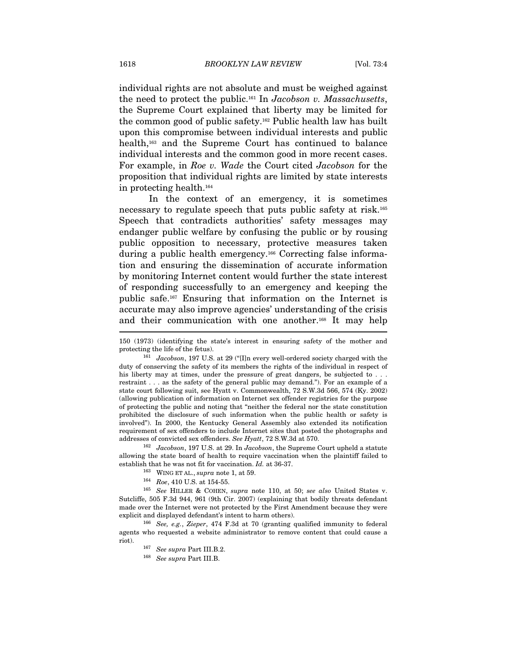individual rights are not absolute and must be weighed against the need to protect the public.161 In Jacobson v. Massachusetts, the Supreme Court explained that liberty may be limited for the common good of public safety.162 Public health law has built upon this compromise between individual interests and public health,163 and the Supreme Court has continued to balance individual interests and the common good in more recent cases. For example, in Roe v. Wade the Court cited Jacobson for the proposition that individual rights are limited by state interests in protecting health.164

In the context of an emergency, it is sometimes necessary to regulate speech that puts public safety at risk.165 Speech that contradicts authorities' safety messages may endanger public welfare by confusing the public or by rousing public opposition to necessary, protective measures taken during a public health emergency.166 Correcting false information and ensuring the dissemination of accurate information by monitoring Internet content would further the state interest of responding successfully to an emergency and keeping the public safe.167 Ensuring that information on the Internet is accurate may also improve agencies' understanding of the crisis and their communication with one another.168 It may help

allowing the state board of health to require vaccination when the plaintiff failed to establish that he was not fit for vaccination.  $Id$ . at 36-37.

<sup>163</sup> WING ET AL., supra note 1, at 59.<br><sup>164</sup> Roe, 410 U.S. at 154-55. <sup>165</sup> See HILLER & COHEN, supra note 110, at 50; see also United States v. Sutcliffe, 505 F.3d 944, 961 (9th Cir. 2007) (explaining that bodily threats defendant made over the Internet were not protected by the First Amendment because they were

explicit and displayed defendant's intent to harm others).<br><sup>166</sup> See, e.g., Zieper, 474 F.3d at 70 (granting qualified immunity to federal agents who requested a website administrator to remove content that could cause a riot). 167 See supra Part III.B.2. 168 See supra Part III.B.

<sup>150 (1973) (</sup>identifying the state's interest in ensuring safety of the mother and

protecting the life of the fetus). 161 Jacobson, 197 U.S. at 29 ("[I]n every well-ordered society charged with the duty of conserving the safety of its members the rights of the individual in respect of his liberty may at times, under the pressure of great dangers, be subjected to . . . restraint . . . as the safety of the general public may demand."). For an example of a state court following suit, see Hyatt v. Commonwealth, 72 S.W.3d 566, 574 (Ky. 2002) (allowing publication of information on Internet sex offender registries for the purpose of protecting the public and noting that "neither the federal nor the state constitution prohibited the disclosure of such information when the public health or safety is involved"). In 2000, the Kentucky General Assembly also extended its notification requirement of sex offenders to include Internet sites that posted the photographs and addresses of convicted sex offenders. See Hyatt, 72 S.W.3d at 570.<br><sup>162</sup> Jacobson, 197 U.S. at 29. In Jacobson, the Supreme Court upheld a statute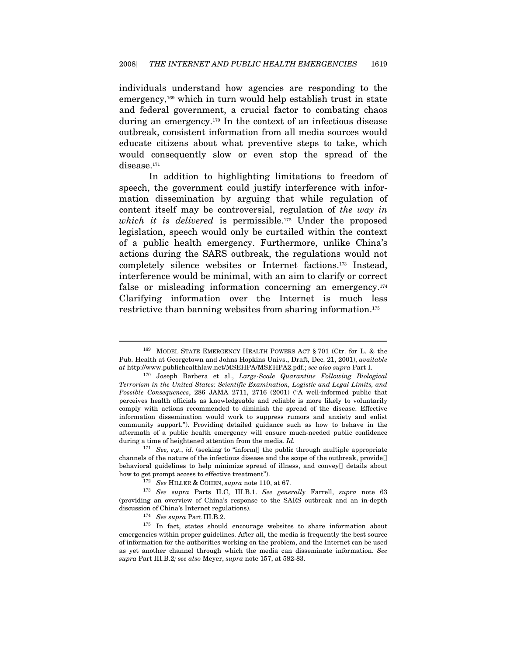individuals understand how agencies are responding to the emergency,<sup>169</sup> which in turn would help establish trust in state and federal government, a crucial factor to combating chaos during an emergency.170 In the context of an infectious disease outbreak, consistent information from all media sources would educate citizens about what preventive steps to take, which would consequently slow or even stop the spread of the disease.<sup>171</sup>

In addition to highlighting limitations to freedom of speech, the government could justify interference with information dissemination by arguing that while regulation of content itself may be controversial, regulation of the way in which it is delivered is permissible.<sup>172</sup> Under the proposed legislation, speech would only be curtailed within the context of a public health emergency. Furthermore, unlike China's actions during the SARS outbreak, the regulations would not completely silence websites or Internet factions.173 Instead, interference would be minimal, with an aim to clarify or correct false or misleading information concerning an emergency.<sup>174</sup> Clarifying information over the Internet is much less restrictive than banning websites from sharing information.<sup>175</sup>

<sup>169</sup> MODEL STATE EMERGENCY HEALTH POWERS ACT § 701 (Ctr. for L. & the Pub. Health at Georgetown and Johns Hopkins Univs., Draft, Dec. 21, 2001), available at http://www.publichealthlaw.net/MSEHPA/MSEHPA2.pdf.; see also supra Part I. 170 Joseph Barbera et al., Large-Scale Quarantine Following Biological

Terrorism in the United States: Scientific Examination, Logistic and Legal Limits, and Possible Consequences, 286 JAMA 2711, 2716 (2001) ("A well-informed public that perceives health officials as knowledgeable and reliable is more likely to voluntarily comply with actions recommended to diminish the spread of the disease. Effective information dissemination would work to suppress rumors and anxiety and enlist community support."). Providing detailed guidance such as how to behave in the aftermath of a public health emergency will ensure much-needed public confidence during a time of heightened attention from the media. Id.

 $171$  See, e.g., id. (seeking to "inform[] the public through multiple appropriate channels of the nature of the infectious disease and the scope of the outbreak, provide[] behavioral guidelines to help minimize spread of illness, and convey[] details about

how to get prompt access to effective treatment").<br>
<sup>172</sup> See HILLER & COHEN, supra note 110, at 67.<br>
<sup>173</sup> See supra Parts II.C, III.B.1. See generally Farrell, supra note 63 (providing an overview of China's response to the SARS outbreak and an in-depth

 $^{174}\,$  See supra Part III.B.2. 175 In fact, states should encourage websites to share information about emergencies within proper guidelines. After all, the media is frequently the best source of information for the authorities working on the problem, and the Internet can be used as yet another channel through which the media can disseminate information. See supra Part III.B.2; see also Meyer, supra note 157, at 582-83.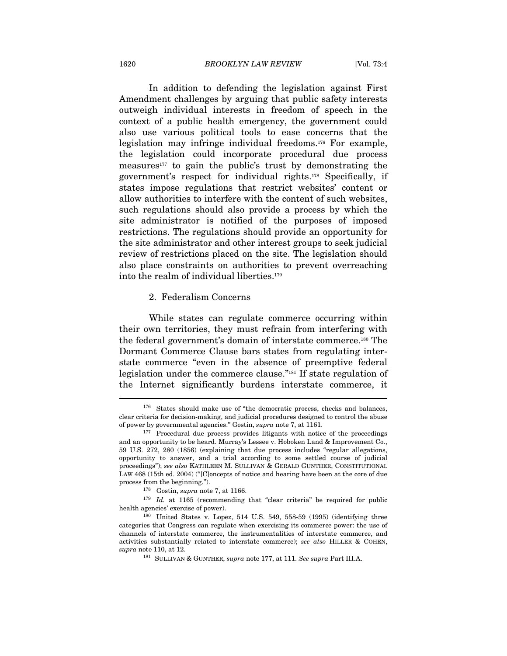1620 BROOKLYN LAW REVIEW [Vol. 73:4

In addition to defending the legislation against First Amendment challenges by arguing that public safety interests outweigh individual interests in freedom of speech in the context of a public health emergency, the government could also use various political tools to ease concerns that the legislation may infringe individual freedoms.176 For example, the legislation could incorporate procedural due process measures<sup>177</sup> to gain the public's trust by demonstrating the government's respect for individual rights.178 Specifically, if states impose regulations that restrict websites' content or allow authorities to interfere with the content of such websites, such regulations should also provide a process by which the site administrator is notified of the purposes of imposed restrictions. The regulations should provide an opportunity for the site administrator and other interest groups to seek judicial review of restrictions placed on the site. The legislation should also place constraints on authorities to prevent overreaching into the realm of individual liberties.179

#### 2. Federalism Concerns

While states can regulate commerce occurring within their own territories, they must refrain from interfering with the federal government's domain of interstate commerce.180 The Dormant Commerce Clause bars states from regulating interstate commerce "even in the absence of preemptive federal legislation under the commerce clause."181 If state regulation of the Internet significantly burdens interstate commerce, it

 $176$  States should make use of "the democratic process, checks and balances, clear criteria for decision-making, and judicial procedures designed to control the abuse % of power by governmental agencies." Gostin, supra note 7, at 1161.<br><sup>177</sup> Procedural due process provides litigants with notice of the proceedings

and an opportunity to be heard. Murray's Lessee v. Hoboken Land & Improvement Co., 59 U.S. 272, 280 (1856) (explaining that due process includes "regular allegations, opportunity to answer, and a trial according to some settled course of judicial proceedings"); see also KATHLEEN M. SULLIVAN & GERALD GUNTHER, CONSTITUTIONAL LAW 468 (15th ed. 2004) ("[C]oncepts of notice and hearing have been at the core of due

process from the beginning.").<br><sup>178</sup> Gostin, *supra* note 7, at 1166.<br><sup>179</sup> Id. at 1165 (recommending that "clear criteria" be required for public health agencies' exercise of power).<br><sup>180</sup> United States v. Lopez, 514 U.S. 549, 558-59 (1995) (identifying three

categories that Congress can regulate when exercising its commerce power: the use of channels of interstate commerce, the instrumentalities of interstate commerce, and activities substantially related to interstate commerce); see also HILLER & COHEN, supra note 110, at 12.

<sup>&</sup>lt;sup>181</sup> SULLIVAN & GUNTHER, supra note 177, at 111. See supra Part III.A.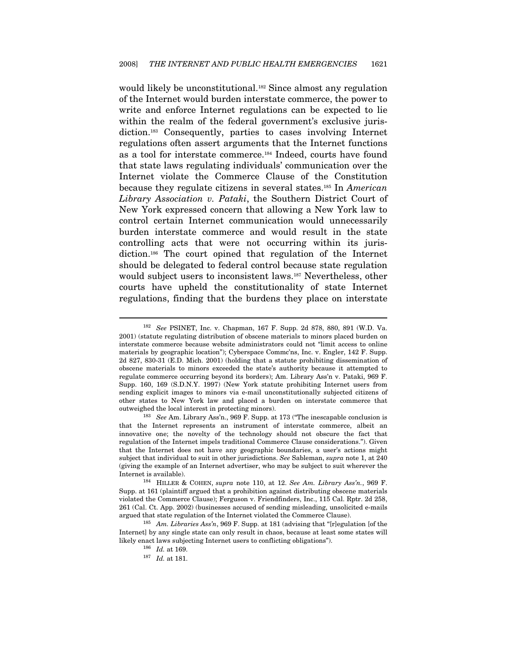would likely be unconstitutional.<sup>182</sup> Since almost any regulation of the Internet would burden interstate commerce, the power to write and enforce Internet regulations can be expected to lie within the realm of the federal government's exclusive jurisdiction.183 Consequently, parties to cases involving Internet regulations often assert arguments that the Internet functions as a tool for interstate commerce.184 Indeed, courts have found that state laws regulating individuals' communication over the Internet violate the Commerce Clause of the Constitution because they regulate citizens in several states.<sup>185</sup> In American Library Association v. Pataki, the Southern District Court of New York expressed concern that allowing a New York law to control certain Internet communication would unnecessarily burden interstate commerce and would result in the state controlling acts that were not occurring within its jurisdiction.186 The court opined that regulation of the Internet should be delegated to federal control because state regulation would subject users to inconsistent laws.187 Nevertheless, other courts have upheld the constitutionality of state Internet regulations, finding that the burdens they place on interstate

<sup>182</sup> See PSINET, Inc. v. Chapman, 167 F. Supp. 2d 878, 880, 891 (W.D. Va. 2001) (statute regulating distribution of obscene materials to minors placed burden on interstate commerce because website administrators could not "limit access to online materials by geographic location"); Cyberspace Commc'ns, Inc. v. Engler, 142 F. Supp. 2d 827, 830-31 (E.D. Mich. 2001) (holding that a statute prohibiting dissemination of obscene materials to minors exceeded the state's authority because it attempted to regulate commerce occurring beyond its borders); Am. Library Ass'n v. Pataki, 969 F. Supp. 160, 169 (S.D.N.Y. 1997) (New York statute prohibiting Internet users from sending explicit images to minors via e-mail unconstitutionally subjected citizens of other states to New York law and placed a burden on interstate commerce that outweighed the local interest in protecting minors).<br><sup>183</sup> See Am. Library Ass'n., 969 F. Supp. at 173 ("The inescapable conclusion is

that the Internet represents an instrument of interstate commerce, albeit an innovative one; the novelty of the technology should not obscure the fact that regulation of the Internet impels traditional Commerce Clause considerations."). Given that the Internet does not have any geographic boundaries, a user's actions might subject that individual to suit in other jurisdictions. See Sableman, supra note 1, at 240 (giving the example of an Internet advertiser, who may be subject to suit wherever the Internet is available).<br><sup>184</sup> HILLER & COHEN, *supra* note 110, at 12. See Am. Library Ass'n., 969 F.

Supp. at 161 (plaintiff argued that a prohibition against distributing obscene materials violated the Commerce Clause); Ferguson v. Friendfinders, Inc., 115 Cal. Rptr. 2d 258, 261 (Cal. Ct. App. 2002) (businesses accused of sending misleading, unsolicited e-mails argued that state regulation of the Internet violated the Commerce Clause).<br><sup>185</sup> Am. Libraries Ass'n, 969 F. Supp. at 181 (advising that "[r]egulation [of the

Internet] by any single state can only result in chaos, because at least some states will likely enact laws subjecting Internet users to conflicting obligations"). 186 Id. at 169. 187 Id. at 181.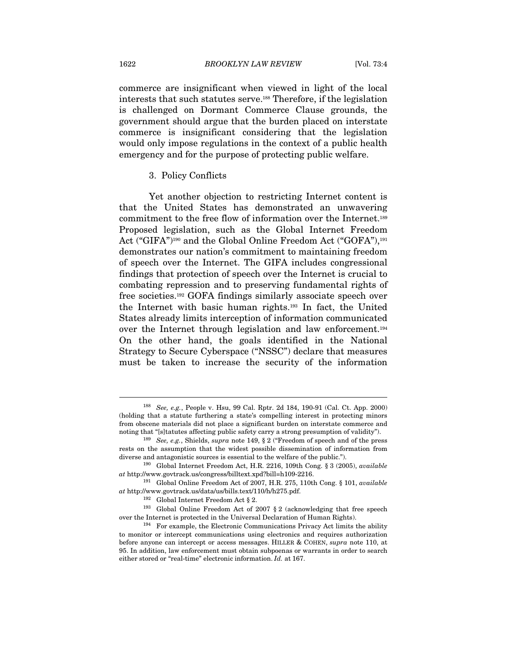commerce are insignificant when viewed in light of the local interests that such statutes serve.188 Therefore, if the legislation is challenged on Dormant Commerce Clause grounds, the government should argue that the burden placed on interstate commerce is insignificant considering that the legislation would only impose regulations in the context of a public health emergency and for the purpose of protecting public welfare.

#### 3. Policy Conflicts

Yet another objection to restricting Internet content is that the United States has demonstrated an unwavering commitment to the free flow of information over the Internet.189 Proposed legislation, such as the Global Internet Freedom Act ("GIFA")<sup>190</sup> and the Global Online Freedom Act ("GOFA"),<sup>191</sup> demonstrates our nation's commitment to maintaining freedom of speech over the Internet. The GIFA includes congressional findings that protection of speech over the Internet is crucial to combating repression and to preserving fundamental rights of free societies.192 GOFA findings similarly associate speech over the Internet with basic human rights.193 In fact, the United States already limits interception of information communicated over the Internet through legislation and law enforcement.194 On the other hand, the goals identified in the National Strategy to Secure Cyberspace ("NSSC") declare that measures must be taken to increase the security of the information

<sup>188</sup> See, e.g., People v. Hsu, 99 Cal. Rptr. 2d 184, 190-91 (Cal. Ct. App. 2000) (holding that a statute furthering a state's compelling interest in protecting minors from obscene materials did not place a significant burden on interstate commerce and noting that "[s]tatutes affecting public safety carry a strong presumption of validity").<br><sup>189</sup> See, e.g., Shields, *supra* note 149, § 2 ("Freedom of speech and of the press

rests on the assumption that the widest possible dissemination of information from diverse and antagonistic sources is essential to the welfare of the public.").<br><sup>190</sup> Global Internet Freedom Act, H.R. 2216, 109th Cong. § 3 (2005), available

at http://www.govtrack.us/congress/billtext.xpd?bill=h109-2216.<br><sup>191</sup> Global Online Freedom Act of 2007, H.R. 275, 110th Cong. § 101, available

 $at$ http://www.govtrack.us/data/us/bills.text/110/h/h275.pdf.  $$^{192}$$ Global Internet Freedom Act  $\S$  2.  $$^{193}$$ Global Online Freedom Act of 2007  $\S$  2 (acknowledging that free speech

over the Internet is protected in the Universal Declaration of Human Rights).<br><sup>194</sup> For example, the Electronic Communications Privacy Act limits the ability

to monitor or intercept communications using electronics and requires authorization before anyone can intercept or access messages. HILLER & COHEN, supra note 110, at 95. In addition, law enforcement must obtain subpoenas or warrants in order to search either stored or "real-time" electronic information. Id. at 167.